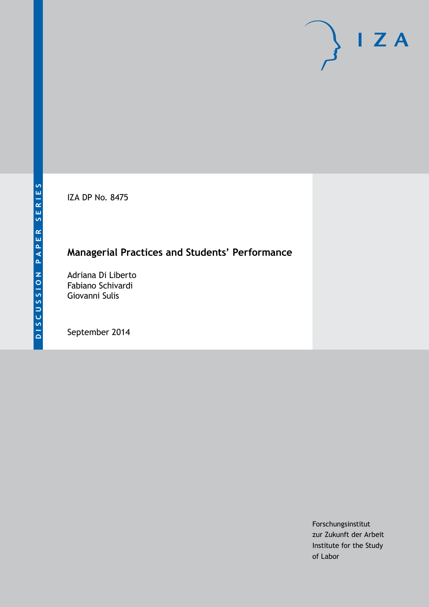IZA DP No. 8475

## **Managerial Practices and Students' Performance**

Adriana Di Liberto Fabiano Schivardi Giovanni Sulis

September 2014

Forschungsinstitut zur Zukunft der Arbeit Institute for the Study of Labor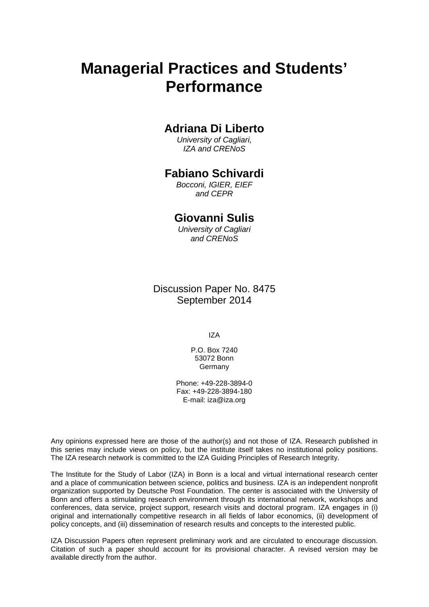# **Managerial Practices and Students' Performance**

### **Adriana Di Liberto**

*University of Cagliari, IZA and CRENoS*

### **Fabiano Schivardi**

*Bocconi, IGIER, EIEF and CEPR*

### **Giovanni Sulis**

*University of Cagliari and CRENoS*

Discussion Paper No. 8475 September 2014

IZA

P.O. Box 7240 53072 Bonn **Germany** 

Phone: +49-228-3894-0 Fax: +49-228-3894-180 E-mail: [iza@iza.org](mailto:iza@iza.org)

Any opinions expressed here are those of the author(s) and not those of IZA. Research published in this series may include views on policy, but the institute itself takes no institutional policy positions. The IZA research network is committed to the IZA Guiding Principles of Research Integrity.

<span id="page-1-0"></span>The Institute for the Study of Labor (IZA) in Bonn is a local and virtual international research center and a place of communication between science, politics and business. IZA is an independent nonprofit organization supported by Deutsche Post Foundation. The center is associated with the University of Bonn and offers a stimulating research environment through its international network, workshops and conferences, data service, project support, research visits and doctoral program. IZA engages in (i) original and internationally competitive research in all fields of labor economics, (ii) development of policy concepts, and (iii) dissemination of research results and concepts to the interested public.

IZA Discussion Papers often represent preliminary work and are circulated to encourage discussion. Citation of such a paper should account for its provisional character. A revised version may be available directly from the author.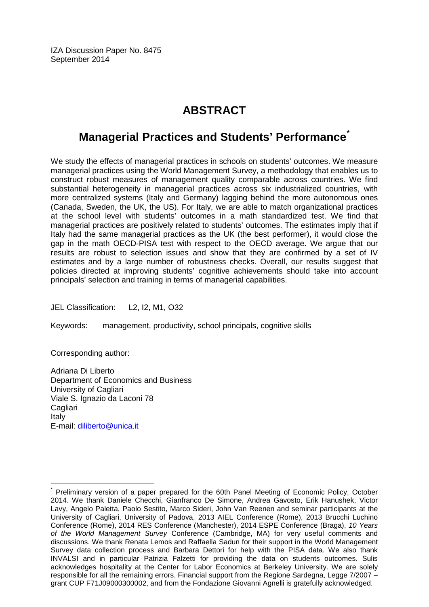IZA Discussion Paper No. 8475 September 2014

## **ABSTRACT**

## **Managerial Practices and Students' Performance[\\*](#page-1-0)**

We study the effects of managerial practices in schools on students' outcomes. We measure managerial practices using the World Management Survey, a methodology that enables us to construct robust measures of management quality comparable across countries. We find substantial heterogeneity in managerial practices across six industrialized countries, with more centralized systems (Italy and Germany) lagging behind the more autonomous ones (Canada, Sweden, the UK, the US). For Italy, we are able to match organizational practices at the school level with students' outcomes in a math standardized test. We find that managerial practices are positively related to students' outcomes. The estimates imply that if Italy had the same managerial practices as the UK (the best performer), it would close the gap in the math OECD-PISA test with respect to the OECD average. We argue that our results are robust to selection issues and show that they are confirmed by a set of IV estimates and by a large number of robustness checks. Overall, our results suggest that policies directed at improving students' cognitive achievements should take into account principals' selection and training in terms of managerial capabilities.

JEL Classification: L2, I2, M1, O32

Keywords: management, productivity, school principals, cognitive skills

Corresponding author:

Adriana Di Liberto Department of Economics and Business University of Cagliari Viale S. Ignazio da Laconi 78 **Cagliari** Italy E-mail: [diliberto@unica.it](mailto:diliberto@unica.it)

Preliminary version of a paper prepared for the 60th Panel Meeting of Economic Policy, October 2014. We thank Daniele Checchi, Gianfranco De Simone, Andrea Gavosto, Erik Hanushek, Victor Lavy, Angelo Paletta, Paolo Sestito, Marco Sideri, John Van Reenen and seminar participants at the University of Cagliari, University of Padova, 2013 AIEL Conference (Rome), 2013 Brucchi Luchino Conference (Rome), 2014 RES Conference (Manchester), 2014 ESPE Conference (Braga), *10 Years of the World Management Survey* Conference (Cambridge, MA) for very useful comments and discussions. We thank Renata Lemos and Raffaella Sadun for their support in the World Management Survey data collection process and Barbara Dettori for help with the PISA data. We also thank INVALSI and in particular Patrizia Falzetti for providing the data on students outcomes. Sulis acknowledges hospitality at the Center for Labor Economics at Berkeley University. We are solely responsible for all the remaining errors. Financial support from the Regione Sardegna, Legge 7/2007 – grant CUP F71J09000300002, and from the Fondazione Giovanni Agnelli is gratefully acknowledged.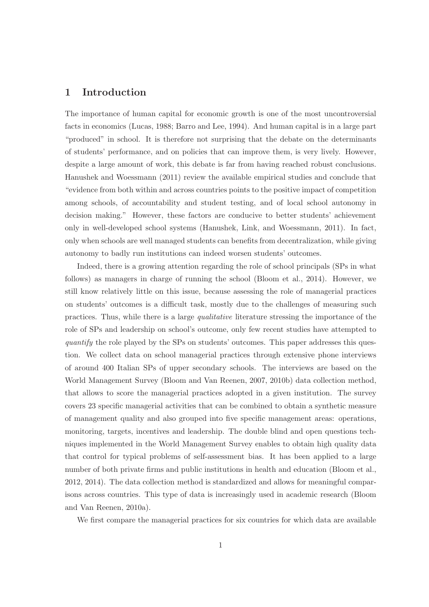#### 1 Introduction

The importance of human capital for economic growth is one of the most uncontroversial facts in economics (Lucas, 1988; Barro and Lee, 1994). And human capital is in a large part "produced" in school. It is therefore not surprising that the debate on the determinants of students' performance, and on policies that can improve them, is very lively. However, despite a large amount of work, this debate is far from having reached robust conclusions. Hanushek and Woessmann (2011) review the available empirical studies and conclude that "evidence from both within and across countries points to the positive impact of competition among schools, of accountability and student testing, and of local school autonomy in decision making." However, these factors are conducive to better students' achievement only in well-developed school systems (Hanushek, Link, and Woessmann, 2011). In fact, only when schools are well managed students can benefits from decentralization, while giving autonomy to badly run institutions can indeed worsen students' outcomes.

Indeed, there is a growing attention regarding the role of school principals (SPs in what follows) as managers in charge of running the school (Bloom et al., 2014). However, we still know relatively little on this issue, because assessing the role of managerial practices on students' outcomes is a difficult task, mostly due to the challenges of measuring such practices. Thus, while there is a large qualitative literature stressing the importance of the role of SPs and leadership on school's outcome, only few recent studies have attempted to quantify the role played by the SPs on students' outcomes. This paper addresses this question. We collect data on school managerial practices through extensive phone interviews of around 400 Italian SPs of upper secondary schools. The interviews are based on the World Management Survey (Bloom and Van Reenen, 2007, 2010b) data collection method, that allows to score the managerial practices adopted in a given institution. The survey covers 23 specific managerial activities that can be combined to obtain a synthetic measure of management quality and also grouped into five specific management areas: operations, monitoring, targets, incentives and leadership. The double blind and open questions techniques implemented in the World Management Survey enables to obtain high quality data that control for typical problems of self-assessment bias. It has been applied to a large number of both private firms and public institutions in health and education (Bloom et al., 2012, 2014). The data collection method is standardized and allows for meaningful comparisons across countries. This type of data is increasingly used in academic research (Bloom and Van Reenen, 2010a).

We first compare the managerial practices for six countries for which data are available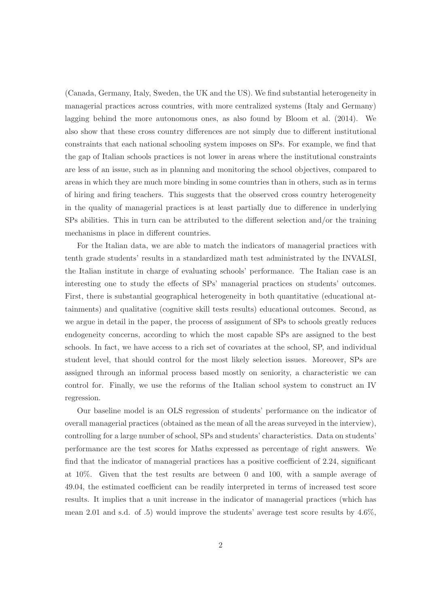(Canada, Germany, Italy, Sweden, the UK and the US). We find substantial heterogeneity in managerial practices across countries, with more centralized systems (Italy and Germany) lagging behind the more autonomous ones, as also found by Bloom et al. (2014). We also show that these cross country differences are not simply due to different institutional constraints that each national schooling system imposes on SPs. For example, we find that the gap of Italian schools practices is not lower in areas where the institutional constraints are less of an issue, such as in planning and monitoring the school objectives, compared to areas in which they are much more binding in some countries than in others, such as in terms of hiring and firing teachers. This suggests that the observed cross country heterogeneity in the quality of managerial practices is at least partially due to difference in underlying SPs abilities. This in turn can be attributed to the different selection and/or the training mechanisms in place in different countries.

For the Italian data, we are able to match the indicators of managerial practices with tenth grade students' results in a standardized math test administrated by the INVALSI, the Italian institute in charge of evaluating schools' performance. The Italian case is an interesting one to study the effects of SPs' managerial practices on students' outcomes. First, there is substantial geographical heterogeneity in both quantitative (educational attainments) and qualitative (cognitive skill tests results) educational outcomes. Second, as we argue in detail in the paper, the process of assignment of SPs to schools greatly reduces endogeneity concerns, according to which the most capable SPs are assigned to the best schools. In fact, we have access to a rich set of covariates at the school, SP, and individual student level, that should control for the most likely selection issues. Moreover, SPs are assigned through an informal process based mostly on seniority, a characteristic we can control for. Finally, we use the reforms of the Italian school system to construct an IV regression.

Our baseline model is an OLS regression of students' performance on the indicator of overall managerial practices (obtained as the mean of all the areas surveyed in the interview), controlling for a large number of school, SPs and students' characteristics. Data on students' performance are the test scores for Maths expressed as percentage of right answers. We find that the indicator of managerial practices has a positive coefficient of 2.24, significant at 10%. Given that the test results are between 0 and 100, with a sample average of 49.04, the estimated coefficient can be readily interpreted in terms of increased test score results. It implies that a unit increase in the indicator of managerial practices (which has mean 2.01 and s.d. of .5) would improve the students' average test score results by 4.6%,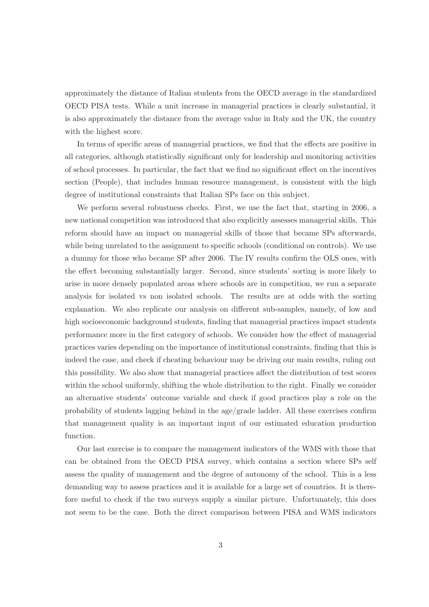approximately the distance of Italian students from the OECD average in the standardized OECD PISA tests. While a unit increase in managerial practices is clearly substantial, it is also approximately the distance from the average value in Italy and the UK, the country with the highest score.

In terms of specific areas of managerial practices, we find that the effects are positive in all categories, although statistically significant only for leadership and monitoring activities of school processes. In particular, the fact that we find no significant effect on the incentives section (People), that includes human resource management, is consistent with the high degree of institutional constraints that Italian SPs face on this subject.

We perform several robustness checks. First, we use the fact that, starting in 2006, a new national competition was introduced that also explicitly assesses managerial skills. This reform should have an impact on managerial skills of those that became SPs afterwards, while being unrelated to the assignment to specific schools (conditional on controls). We use a dummy for those who became SP after 2006. The IV results confirm the OLS ones, with the effect becoming substantially larger. Second, since students' sorting is more likely to arise in more densely populated areas where schools are in competition, we run a separate analysis for isolated vs non isolated schools. The results are at odds with the sorting explanation. We also replicate our analysis on different sub-samples, namely, of low and high socioeconomic background students, finding that managerial practices impact students performance more in the first category of schools. We consider how the effect of managerial practices varies depending on the importance of institutional constraints, finding that this is indeed the case, and check if cheating behaviour may be driving our main results, ruling out this possibility. We also show that managerial practices affect the distribution of test scores within the school uniformly, shifting the whole distribution to the right. Finally we consider an alternative students' outcome variable and check if good practices play a role on the probability of students lagging behind in the age/grade ladder. All these exercises confirm that management quality is an important input of our estimated education production function.

Our last exercise is to compare the management indicators of the WMS with those that can be obtained from the OECD PISA survey, which contains a section where SPs self assess the quality of management and the degree of autonomy of the school. This is a less demanding way to assess practices and it is available for a large set of countries. It is therefore useful to check if the two surveys supply a similar picture. Unfortunately, this does not seem to be the case. Both the direct comparison between PISA and WMS indicators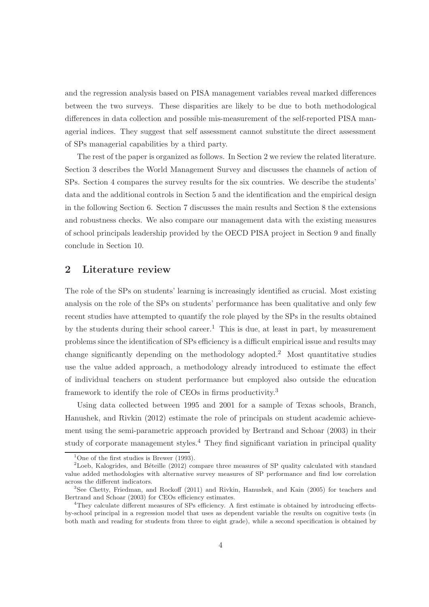and the regression analysis based on PISA management variables reveal marked differences between the two surveys. These disparities are likely to be due to both methodological differences in data collection and possible mis-measurement of the self-reported PISA managerial indices. They suggest that self assessment cannot substitute the direct assessment of SPs managerial capabilities by a third party.

The rest of the paper is organized as follows. In Section 2 we review the related literature. Section 3 describes the World Management Survey and discusses the channels of action of SPs. Section 4 compares the survey results for the six countries. We describe the students' data and the additional controls in Section 5 and the identification and the empirical design in the following Section 6. Section 7 discusses the main results and Section 8 the extensions and robustness checks. We also compare our management data with the existing measures of school principals leadership provided by the OECD PISA project in Section 9 and finally conclude in Section 10.

#### 2 Literature review

The role of the SPs on students' learning is increasingly identified as crucial. Most existing analysis on the role of the SPs on students' performance has been qualitative and only few recent studies have attempted to quantify the role played by the SPs in the results obtained by the students during their school career.<sup>1</sup> This is due, at least in part, by measurement problems since the identification of SPs efficiency is a difficult empirical issue and results may change significantly depending on the methodology adopted.<sup>2</sup> Most quantitative studies use the value added approach, a methodology already introduced to estimate the effect of individual teachers on student performance but employed also outside the education framework to identify the role of CEOs in firms productivity.<sup>3</sup>

Using data collected between 1995 and 2001 for a sample of Texas schools, Branch, Hanushek, and Rivkin (2012) estimate the role of principals on student academic achievement using the semi-parametric approach provided by Bertrand and Schoar (2003) in their study of corporate management styles.<sup>4</sup> They find significant variation in principal quality

<sup>&</sup>lt;sup>1</sup>One of the first studies is Brewer (1993).

<sup>&</sup>lt;sup>2</sup>Loeb, Kalogrides, and Béteille (2012) compare three measures of SP quality calculated with standard value added methodologies with alternative survey measures of SP performance and find low correlation across the different indicators.

<sup>3</sup>See Chetty, Friedman, and Rockoff (2011) and Rivkin, Hanushek, and Kain (2005) for teachers and Bertrand and Schoar (2003) for CEOs efficiency estimates.

<sup>&</sup>lt;sup>4</sup>They calculate different measures of SPs efficiency. A first estimate is obtained by introducing effectsby-school principal in a regression model that uses as dependent variable the results on cognitive tests (in both math and reading for students from three to eight grade), while a second specification is obtained by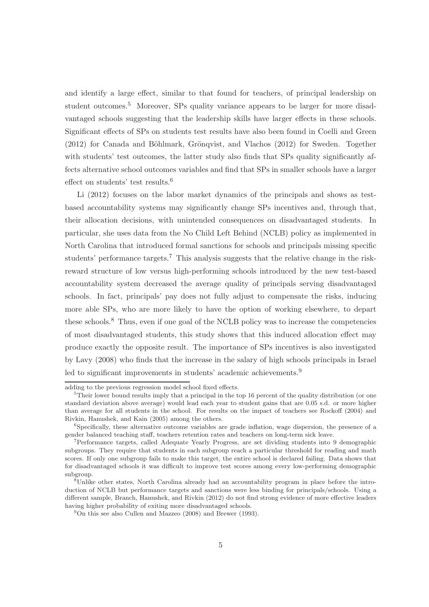and identify a large effect, similar to that found for teachers, of principal leadership on student outcomes.<sup>5</sup> Moreover, SPs quality variance appears to be larger for more disadvantaged schools suggesting that the leadership skills have larger effects in these schools. Significant effects of SPs on students test results have also been found in Coelli and Green  $(2012)$  for Canada and Böhlmark, Grönqvist, and Vlachos  $(2012)$  for Sweden. Together with students' test outcomes, the latter study also finds that SPs quality significantly affects alternative school outcomes variables and find that SPs in smaller schools have a larger effect on students' test results.<sup>6</sup>

Li (2012) focuses on the labor market dynamics of the principals and shows as testbased accountability systems may significantly change SPs incentives and, through that, their allocation decisions, with unintended consequences on disadvantaged students. In particular, she uses data from the No Child Left Behind (NCLB) policy as implemented in North Carolina that introduced formal sanctions for schools and principals missing specific students' performance targets.<sup>7</sup> This analysis suggests that the relative change in the riskreward structure of low versus high-performing schools introduced by the new test-based accountability system decreased the average quality of principals serving disadvantaged schools. In fact, principals' pay does not fully adjust to compensate the risks, inducing more able SPs, who are more likely to have the option of working elsewhere, to depart these schools.<sup>8</sup> Thus, even if one goal of the NCLB policy was to increase the competencies of most disadvantaged students, this study shows that this induced allocation effect may produce exactly the opposite result. The importance of SPs incentives is also investigated by Lavy (2008) who finds that the increase in the salary of high schools principals in Israel led to significant improvements in students' academic achievements.<sup>9</sup>

adding to the previous regression model school fixed effects.

 $5$ Their lower bound results imply that a principal in the top 16 percent of the quality distribution (or one standard deviation above average) would lead each year to student gains that are 0.05 s.d. or more higher than average for all students in the school. For results on the impact of teachers see Rockoff (2004) and Rivkin, Hanushek, and Kain (2005) among the others.

<sup>&</sup>lt;sup>6</sup>Specifically, these alternative outcome variables are grade inflation, wage dispersion, the presence of a gender balanced teaching staff, teachers retention rates and teachers on long-term sick leave.

<sup>7</sup>Performance targets, called Adequate Yearly Progress, are set dividing students into 9 demographic subgroups. They require that students in each subgroup reach a particular threshold for reading and math scores. If only one subgroup fails to make this target, the entire school is declared failing. Data shows that for disadvantaged schools it was difficult to improve test scores among every low-performing demographic subgroup.

<sup>8</sup>Unlike other states, North Carolina already had an accountability program in place before the introduction of NCLB but performance targets and sanctions were less binding for principals/schools. Using a different sample, Branch, Hanushek, and Rivkin (2012) do not find strong evidence of more effective leaders having higher probability of exiting more disadvantaged schools.

 $^{9}$ On this see also Cullen and Mazzeo (2008) and Brewer (1993).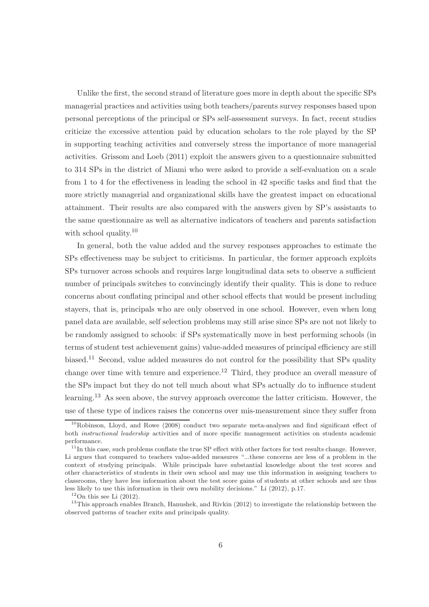Unlike the first, the second strand of literature goes more in depth about the specific SPs managerial practices and activities using both teachers/parents survey responses based upon personal perceptions of the principal or SPs self-assessment surveys. In fact, recent studies criticize the excessive attention paid by education scholars to the role played by the SP in supporting teaching activities and conversely stress the importance of more managerial activities. Grissom and Loeb (2011) exploit the answers given to a questionnaire submitted to 314 SPs in the district of Miami who were asked to provide a self-evaluation on a scale from 1 to 4 for the effectiveness in leading the school in 42 specific tasks and find that the more strictly managerial and organizational skills have the greatest impact on educational attainment. Their results are also compared with the answers given by SP's assistants to the same questionnaire as well as alternative indicators of teachers and parents satisfaction with school quality.<sup>10</sup>

In general, both the value added and the survey responses approaches to estimate the SPs effectiveness may be subject to criticisms. In particular, the former approach exploits SPs turnover across schools and requires large longitudinal data sets to observe a sufficient number of principals switches to convincingly identify their quality. This is done to reduce concerns about conflating principal and other school effects that would be present including stayers, that is, principals who are only observed in one school. However, even when long panel data are available, self selection problems may still arise since SPs are not not likely to be randomly assigned to schools: if SPs systematically move in best performing schools (in terms of student test achievement gains) value-added measures of principal efficiency are still biased.<sup>11</sup> Second, value added measures do not control for the possibility that SPs quality change over time with tenure and experience.<sup>12</sup> Third, they produce an overall measure of the SPs impact but they do not tell much about what SPs actually do to influence student learning.<sup>13</sup> As seen above, the survey approach overcome the latter criticism. However, the use of these type of indices raises the concerns over mis-measurement since they suffer from

 $10R$ obinson, Lloyd, and Rowe (2008) conduct two separate meta-analyses and find significant effect of both instructional leadership activities and of more specific management activities on students academic performance.

 $11$ In this case, such problems conflate the true SP effect with other factors for test results change. However, Li argues that compared to teachers value-added measures "...these concerns are less of a problem in the context of studying principals. While principals have substantial knowledge about the test scores and other characteristics of students in their own school and may use this information in assigning teachers to classrooms, they have less information about the test score gains of students at other schools and are thus less likely to use this information in their own mobility decisions." Li (2012), p.17.

 $12$ On this see Li  $(2012)$ .

<sup>&</sup>lt;sup>13</sup>This approach enables Branch, Hanushek, and Rivkin (2012) to investigate the relationship between the observed patterns of teacher exits and principals quality.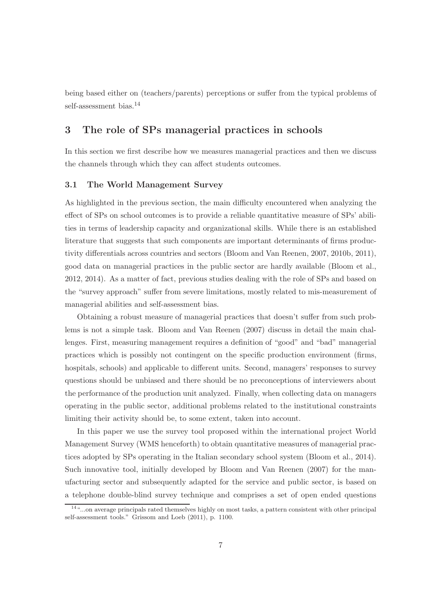being based either on (teachers/parents) perceptions or suffer from the typical problems of self-assessment bias.<sup>14</sup>

### 3 The role of SPs managerial practices in schools

In this section we first describe how we measures managerial practices and then we discuss the channels through which they can affect students outcomes.

#### 3.1 The World Management Survey

As highlighted in the previous section, the main difficulty encountered when analyzing the effect of SPs on school outcomes is to provide a reliable quantitative measure of SPs' abilities in terms of leadership capacity and organizational skills. While there is an established literature that suggests that such components are important determinants of firms productivity differentials across countries and sectors (Bloom and Van Reenen, 2007, 2010b, 2011), good data on managerial practices in the public sector are hardly available (Bloom et al., 2012, 2014). As a matter of fact, previous studies dealing with the role of SPs and based on the "survey approach" suffer from severe limitations, mostly related to mis-measurement of managerial abilities and self-assessment bias.

Obtaining a robust measure of managerial practices that doesn't suffer from such problems is not a simple task. Bloom and Van Reenen (2007) discuss in detail the main challenges. First, measuring management requires a definition of "good" and "bad" managerial practices which is possibly not contingent on the specific production environment (firms, hospitals, schools) and applicable to different units. Second, managers' responses to survey questions should be unbiased and there should be no preconceptions of interviewers about the performance of the production unit analyzed. Finally, when collecting data on managers operating in the public sector, additional problems related to the institutional constraints limiting their activity should be, to some extent, taken into account.

In this paper we use the survey tool proposed within the international project World Management Survey (WMS henceforth) to obtain quantitative measures of managerial practices adopted by SPs operating in the Italian secondary school system (Bloom et al., 2014). Such innovative tool, initially developed by Bloom and Van Reenen (2007) for the manufacturing sector and subsequently adapted for the service and public sector, is based on a telephone double-blind survey technique and comprises a set of open ended questions

<sup>14</sup>"...on average principals rated themselves highly on most tasks, a pattern consistent with other principal self-assessment tools." Grissom and Loeb (2011), p. 1100.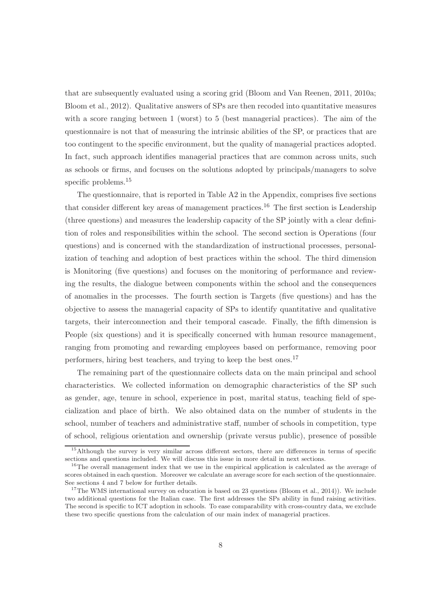that are subsequently evaluated using a scoring grid (Bloom and Van Reenen, 2011, 2010a; Bloom et al., 2012). Qualitative answers of SPs are then recoded into quantitative measures with a score ranging between 1 (worst) to 5 (best managerial practices). The aim of the questionnaire is not that of measuring the intrinsic abilities of the SP, or practices that are too contingent to the specific environment, but the quality of managerial practices adopted. In fact, such approach identifies managerial practices that are common across units, such as schools or firms, and focuses on the solutions adopted by principals/managers to solve specific problems.<sup>15</sup>

The questionnaire, that is reported in Table A2 in the Appendix, comprises five sections that consider different key areas of management practices.<sup>16</sup> The first section is Leadership (three questions) and measures the leadership capacity of the SP jointly with a clear definition of roles and responsibilities within the school. The second section is Operations (four questions) and is concerned with the standardization of instructional processes, personalization of teaching and adoption of best practices within the school. The third dimension is Monitoring (five questions) and focuses on the monitoring of performance and reviewing the results, the dialogue between components within the school and the consequences of anomalies in the processes. The fourth section is Targets (five questions) and has the objective to assess the managerial capacity of SPs to identify quantitative and qualitative targets, their interconnection and their temporal cascade. Finally, the fifth dimension is People (six questions) and it is specifically concerned with human resource management, ranging from promoting and rewarding employees based on performance, removing poor performers, hiring best teachers, and trying to keep the best ones.<sup>17</sup>

The remaining part of the questionnaire collects data on the main principal and school characteristics. We collected information on demographic characteristics of the SP such as gender, age, tenure in school, experience in post, marital status, teaching field of specialization and place of birth. We also obtained data on the number of students in the school, number of teachers and administrative staff, number of schools in competition, type of school, religious orientation and ownership (private versus public), presence of possible

<sup>&</sup>lt;sup>15</sup>Although the survey is very similar across different sectors, there are differences in terms of specific sections and questions included. We will discuss this issue in more detail in next sections.

<sup>&</sup>lt;sup>16</sup>The overall management index that we use in the empirical application is calculated as the average of scores obtained in each question. Moreover we calculate an average score for each section of the questionnaire. See sections 4 and 7 below for further details.

<sup>&</sup>lt;sup>17</sup>The WMS international survey on education is based on 23 questions (Bloom et al., 2014)). We include two additional questions for the Italian case. The first addresses the SPs ability in fund raising activities. The second is specific to ICT adoption in schools. To ease comparability with cross-country data, we exclude these two specific questions from the calculation of our main index of managerial practices.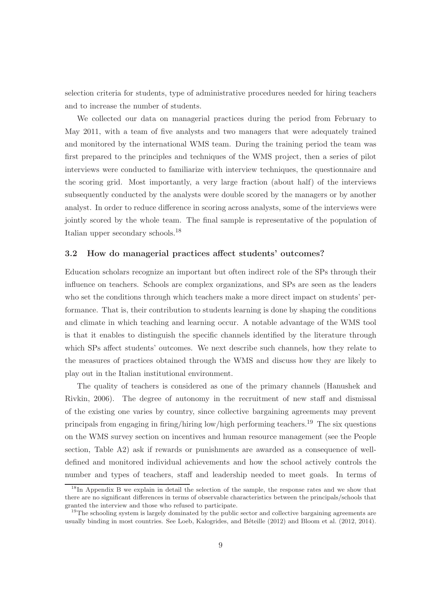selection criteria for students, type of administrative procedures needed for hiring teachers and to increase the number of students.

We collected our data on managerial practices during the period from February to May 2011, with a team of five analysts and two managers that were adequately trained and monitored by the international WMS team. During the training period the team was first prepared to the principles and techniques of the WMS project, then a series of pilot interviews were conducted to familiarize with interview techniques, the questionnaire and the scoring grid. Most importantly, a very large fraction (about half) of the interviews subsequently conducted by the analysts were double scored by the managers or by another analyst. In order to reduce difference in scoring across analysts, some of the interviews were jointly scored by the whole team. The final sample is representative of the population of Italian upper secondary schools.<sup>18</sup>

#### 3.2 How do managerial practices affect students' outcomes?

Education scholars recognize an important but often indirect role of the SPs through their influence on teachers. Schools are complex organizations, and SPs are seen as the leaders who set the conditions through which teachers make a more direct impact on students' performance. That is, their contribution to students learning is done by shaping the conditions and climate in which teaching and learning occur. A notable advantage of the WMS tool is that it enables to distinguish the specific channels identified by the literature through which SPs affect students' outcomes. We next describe such channels, how they relate to the measures of practices obtained through the WMS and discuss how they are likely to play out in the Italian institutional environment.

The quality of teachers is considered as one of the primary channels (Hanushek and Rivkin, 2006). The degree of autonomy in the recruitment of new staff and dismissal of the existing one varies by country, since collective bargaining agreements may prevent principals from engaging in firing/hiring low/high performing teachers.<sup>19</sup> The six questions on the WMS survey section on incentives and human resource management (see the People section, Table A2) ask if rewards or punishments are awarded as a consequence of welldefined and monitored individual achievements and how the school actively controls the number and types of teachers, staff and leadership needed to meet goals. In terms of

<sup>&</sup>lt;sup>18</sup>In Appendix B we explain in detail the selection of the sample, the response rates and we show that there are no significant differences in terms of observable characteristics between the principals/schools that granted the interview and those who refused to participate.

<sup>&</sup>lt;sup>19</sup>The schooling system is largely dominated by the public sector and collective bargaining agreements are usually binding in most countries. See Loeb, Kalogrides, and Béteille (2012) and Bloom et al. (2012, 2014).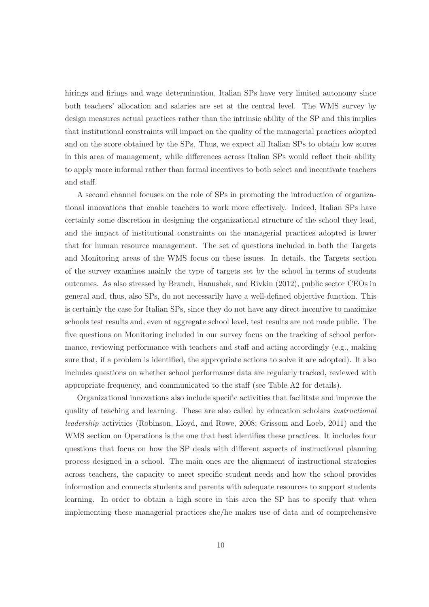hirings and firings and wage determination, Italian SPs have very limited autonomy since both teachers' allocation and salaries are set at the central level. The WMS survey by design measures actual practices rather than the intrinsic ability of the SP and this implies that institutional constraints will impact on the quality of the managerial practices adopted and on the score obtained by the SPs. Thus, we expect all Italian SPs to obtain low scores in this area of management, while differences across Italian SPs would reflect their ability to apply more informal rather than formal incentives to both select and incentivate teachers and staff.

A second channel focuses on the role of SPs in promoting the introduction of organizational innovations that enable teachers to work more effectively. Indeed, Italian SPs have certainly some discretion in designing the organizational structure of the school they lead, and the impact of institutional constraints on the managerial practices adopted is lower that for human resource management. The set of questions included in both the Targets and Monitoring areas of the WMS focus on these issues. In details, the Targets section of the survey examines mainly the type of targets set by the school in terms of students outcomes. As also stressed by Branch, Hanushek, and Rivkin (2012), public sector CEOs in general and, thus, also SPs, do not necessarily have a well-defined objective function. This is certainly the case for Italian SPs, since they do not have any direct incentive to maximize schools test results and, even at aggregate school level, test results are not made public. The five questions on Monitoring included in our survey focus on the tracking of school performance, reviewing performance with teachers and staff and acting accordingly (e.g., making sure that, if a problem is identified, the appropriate actions to solve it are adopted). It also includes questions on whether school performance data are regularly tracked, reviewed with appropriate frequency, and communicated to the staff (see Table A2 for details).

Organizational innovations also include specific activities that facilitate and improve the quality of teaching and learning. These are also called by education scholars instructional leadership activities (Robinson, Lloyd, and Rowe, 2008; Grissom and Loeb, 2011) and the WMS section on Operations is the one that best identifies these practices. It includes four questions that focus on how the SP deals with different aspects of instructional planning process designed in a school. The main ones are the alignment of instructional strategies across teachers, the capacity to meet specific student needs and how the school provides information and connects students and parents with adequate resources to support students learning. In order to obtain a high score in this area the SP has to specify that when implementing these managerial practices she/he makes use of data and of comprehensive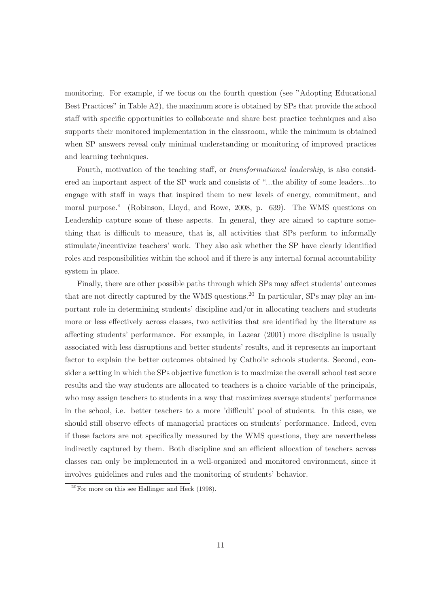monitoring. For example, if we focus on the fourth question (see "Adopting Educational Best Practices" in Table A2), the maximum score is obtained by SPs that provide the school staff with specific opportunities to collaborate and share best practice techniques and also supports their monitored implementation in the classroom, while the minimum is obtained when SP answers reveal only minimal understanding or monitoring of improved practices and learning techniques.

Fourth, motivation of the teaching staff, or *transformational leadership*, is also considered an important aspect of the SP work and consists of "...the ability of some leaders...to engage with staff in ways that inspired them to new levels of energy, commitment, and moral purpose." (Robinson, Lloyd, and Rowe, 2008, p. 639). The WMS questions on Leadership capture some of these aspects. In general, they are aimed to capture something that is difficult to measure, that is, all activities that SPs perform to informally stimulate/incentivize teachers' work. They also ask whether the SP have clearly identified roles and responsibilities within the school and if there is any internal formal accountability system in place.

Finally, there are other possible paths through which SPs may affect students' outcomes that are not directly captured by the WMS questions.<sup>20</sup> In particular, SPs may play an important role in determining students' discipline and/or in allocating teachers and students more or less effectively across classes, two activities that are identified by the literature as affecting students' performance. For example, in Lazear (2001) more discipline is usually associated with less disruptions and better students' results, and it represents an important factor to explain the better outcomes obtained by Catholic schools students. Second, consider a setting in which the SPs objective function is to maximize the overall school test score results and the way students are allocated to teachers is a choice variable of the principals, who may assign teachers to students in a way that maximizes average students' performance in the school, i.e. better teachers to a more 'difficult' pool of students. In this case, we should still observe effects of managerial practices on students' performance. Indeed, even if these factors are not specifically measured by the WMS questions, they are nevertheless indirectly captured by them. Both discipline and an efficient allocation of teachers across classes can only be implemented in a well-organized and monitored environment, since it involves guidelines and rules and the monitoring of students' behavior.

 $20$  For more on this see Hallinger and Heck (1998).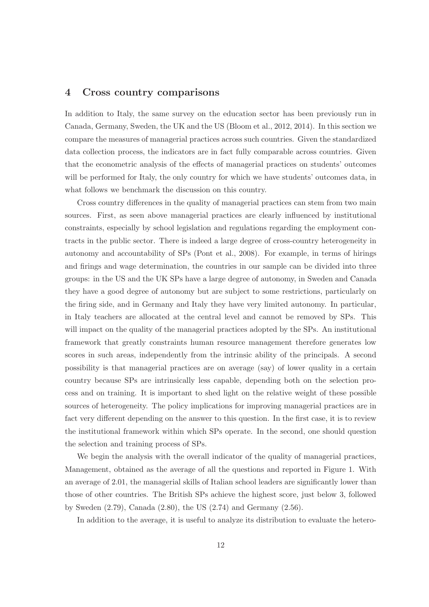#### 4 Cross country comparisons

In addition to Italy, the same survey on the education sector has been previously run in Canada, Germany, Sweden, the UK and the US (Bloom et al., 2012, 2014). In this section we compare the measures of managerial practices across such countries. Given the standardized data collection process, the indicators are in fact fully comparable across countries. Given that the econometric analysis of the effects of managerial practices on students' outcomes will be performed for Italy, the only country for which we have students' outcomes data, in what follows we benchmark the discussion on this country.

Cross country differences in the quality of managerial practices can stem from two main sources. First, as seen above managerial practices are clearly influenced by institutional constraints, especially by school legislation and regulations regarding the employment contracts in the public sector. There is indeed a large degree of cross-country heterogeneity in autonomy and accountability of SPs (Pont et al., 2008). For example, in terms of hirings and firings and wage determination, the countries in our sample can be divided into three groups: in the US and the UK SPs have a large degree of autonomy, in Sweden and Canada they have a good degree of autonomy but are subject to some restrictions, particularly on the firing side, and in Germany and Italy they have very limited autonomy. In particular, in Italy teachers are allocated at the central level and cannot be removed by SPs. This will impact on the quality of the managerial practices adopted by the SPs. An institutional framework that greatly constraints human resource management therefore generates low scores in such areas, independently from the intrinsic ability of the principals. A second possibility is that managerial practices are on average (say) of lower quality in a certain country because SPs are intrinsically less capable, depending both on the selection process and on training. It is important to shed light on the relative weight of these possible sources of heterogeneity. The policy implications for improving managerial practices are in fact very different depending on the answer to this question. In the first case, it is to review the institutional framework within which SPs operate. In the second, one should question the selection and training process of SPs.

We begin the analysis with the overall indicator of the quality of managerial practices, Management, obtained as the average of all the questions and reported in Figure 1. With an average of 2.01, the managerial skills of Italian school leaders are significantly lower than those of other countries. The British SPs achieve the highest score, just below 3, followed by Sweden (2.79), Canada (2.80), the US (2.74) and Germany (2.56).

In addition to the average, it is useful to analyze its distribution to evaluate the hetero-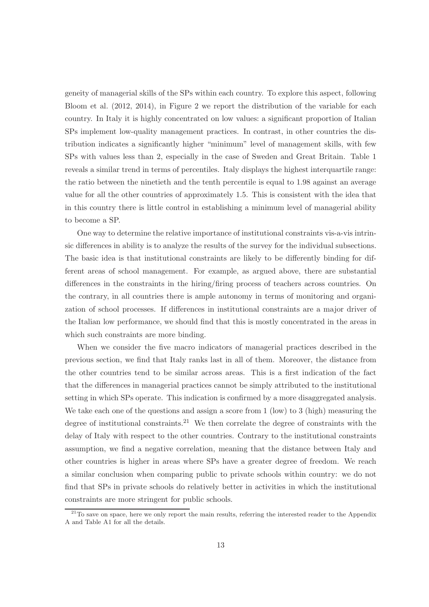geneity of managerial skills of the SPs within each country. To explore this aspect, following Bloom et al. (2012, 2014), in Figure 2 we report the distribution of the variable for each country. In Italy it is highly concentrated on low values: a significant proportion of Italian SPs implement low-quality management practices. In contrast, in other countries the distribution indicates a significantly higher "minimum" level of management skills, with few SPs with values less than 2, especially in the case of Sweden and Great Britain. Table 1 reveals a similar trend in terms of percentiles. Italy displays the highest interquartile range: the ratio between the ninetieth and the tenth percentile is equal to 1.98 against an average value for all the other countries of approximately 1.5. This is consistent with the idea that in this country there is little control in establishing a minimum level of managerial ability to become a SP.

One way to determine the relative importance of institutional constraints vis-a-vis intrinsic differences in ability is to analyze the results of the survey for the individual subsections. The basic idea is that institutional constraints are likely to be differently binding for different areas of school management. For example, as argued above, there are substantial differences in the constraints in the hiring/firing process of teachers across countries. On the contrary, in all countries there is ample autonomy in terms of monitoring and organization of school processes. If differences in institutional constraints are a major driver of the Italian low performance, we should find that this is mostly concentrated in the areas in which such constraints are more binding.

When we consider the five macro indicators of managerial practices described in the previous section, we find that Italy ranks last in all of them. Moreover, the distance from the other countries tend to be similar across areas. This is a first indication of the fact that the differences in managerial practices cannot be simply attributed to the institutional setting in which SPs operate. This indication is confirmed by a more disaggregated analysis. We take each one of the questions and assign a score from 1 (low) to 3 (high) measuring the degree of institutional constraints.<sup>21</sup> We then correlate the degree of constraints with the delay of Italy with respect to the other countries. Contrary to the institutional constraints assumption, we find a negative correlation, meaning that the distance between Italy and other countries is higher in areas where SPs have a greater degree of freedom. We reach a similar conclusion when comparing public to private schools within country: we do not find that SPs in private schools do relatively better in activities in which the institutional constraints are more stringent for public schools.

 $^{21}$ To save on space, here we only report the main results, referring the interested reader to the Appendix A and Table A1 for all the details.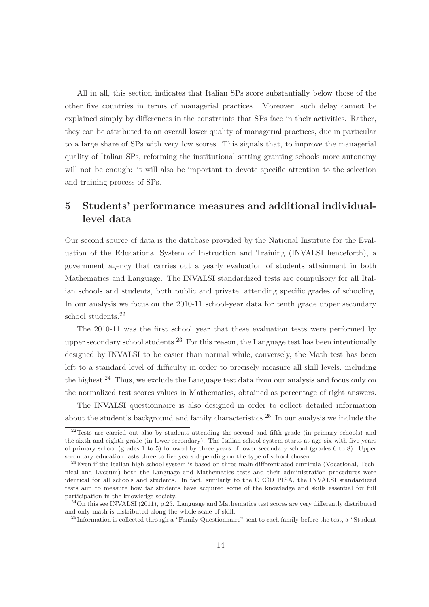All in all, this section indicates that Italian SPs score substantially below those of the other five countries in terms of managerial practices. Moreover, such delay cannot be explained simply by differences in the constraints that SPs face in their activities. Rather, they can be attributed to an overall lower quality of managerial practices, due in particular to a large share of SPs with very low scores. This signals that, to improve the managerial quality of Italian SPs, reforming the institutional setting granting schools more autonomy will not be enough: it will also be important to devote specific attention to the selection and training process of SPs.

### 5 Students' performance measures and additional individuallevel data

Our second source of data is the database provided by the National Institute for the Evaluation of the Educational System of Instruction and Training (INVALSI henceforth), a government agency that carries out a yearly evaluation of students attainment in both Mathematics and Language. The INVALSI standardized tests are compulsory for all Italian schools and students, both public and private, attending specific grades of schooling. In our analysis we focus on the 2010-11 school-year data for tenth grade upper secondary school students.<sup>22</sup>

The 2010-11 was the first school year that these evaluation tests were performed by upper secondary school students.<sup>23</sup> For this reason, the Language test has been intentionally designed by INVALSI to be easier than normal while, conversely, the Math test has been left to a standard level of difficulty in order to precisely measure all skill levels, including the highest.<sup>24</sup> Thus, we exclude the Language test data from our analysis and focus only on the normalized test scores values in Mathematics, obtained as percentage of right answers.

The INVALSI questionnaire is also designed in order to collect detailed information about the student's background and family characteristics. <sup>25</sup> In our analysis we include the

 $22$ Tests are carried out also by students attending the second and fifth grade (in primary schools) and the sixth and eighth grade (in lower secondary). The Italian school system starts at age six with five years of primary school (grades 1 to 5) followed by three years of lower secondary school (grades 6 to 8). Upper secondary education lasts three to five years depending on the type of school chosen.

 $^{23}$ Even if the Italian high school system is based on three main differentiated curricula (Vocational, Technical and Lyceum) both the Language and Mathematics tests and their administration procedures were identical for all schools and students. In fact, similarly to the OECD PISA, the INVALSI standardized tests aim to measure how far students have acquired some of the knowledge and skills essential for full participation in the knowledge society.

 $^{24}$ On this see INVALSI (2011), p.25. Language and Mathematics test scores are very differently distributed and only math is distributed along the whole scale of skill.

<sup>&</sup>lt;sup>25</sup>Information is collected through a "Family Questionnaire" sent to each family before the test, a "Student"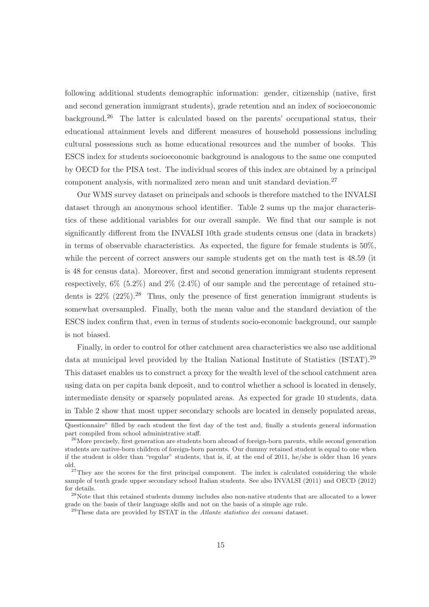following additional students demographic information: gender, citizenship (native, first and second generation immigrant students), grade retention and an index of socioeconomic background.<sup>26</sup> The latter is calculated based on the parents' occupational status, their educational attainment levels and different measures of household possessions including cultural possessions such as home educational resources and the number of books. This ESCS index for students socioeconomic background is analogous to the same one computed by OECD for the PISA test. The individual scores of this index are obtained by a principal component analysis, with normalized zero mean and unit standard deviation.<sup>27</sup>

Our WMS survey dataset on principals and schools is therefore matched to the INVALSI dataset through an anonymous school identifier. Table 2 sums up the major characteristics of these additional variables for our overall sample. We find that our sample is not significantly different from the INVALSI 10th grade students census one (data in brackets) in terms of observable characteristics. As expected, the figure for female students is  $50\%$ , while the percent of correct answers our sample students get on the math test is 48.59 (it is 48 for census data). Moreover, first and second generation immigrant students represent respectively,  $6\%$   $(5.2\%)$  and  $2\%$   $(2.4\%)$  of our sample and the percentage of retained students is  $22\%$  ( $22\%$ ).<sup>28</sup> Thus, only the presence of first generation immigrant students is somewhat oversampled. Finally, both the mean value and the standard deviation of the ESCS index confirm that, even in terms of students socio-economic background, our sample is not biased.

Finally, in order to control for other catchment area characteristics we also use additional data at municipal level provided by the Italian National Institute of Statistics (ISTAT).<sup>29</sup> This dataset enables us to construct a proxy for the wealth level of the school catchment area using data on per capita bank deposit, and to control whether a school is located in densely, intermediate density or sparsely populated areas. As expected for grade 10 students, data in Table 2 show that most upper secondary schools are located in densely populated areas,

Questionnaire" filled by each student the first day of the test and, finally a students general information part compiled from school administrative staff.

<sup>&</sup>lt;sup>26</sup>More precisely, first generation are students born abroad of foreign-born parents, while second generation students are native-born children of foreign-born parents. Our dummy retained student is equal to one when if the student is older than "regular" students, that is, if, at the end of 2011, he/she is older than 16 years old.

 $27$ They are the scores for the first principal component. The index is calculated considering the whole sample of tenth grade upper secondary school Italian students. See also INVALSI (2011) and OECD (2012) for details.

<sup>&</sup>lt;sup>28</sup>Note that this retained students dummy includes also non-native students that are allocated to a lower grade on the basis of their language skills and not on the basis of a simple age rule.

 $^{29}$ These data are provided by ISTAT in the *Atlante statistico dei comuni* dataset.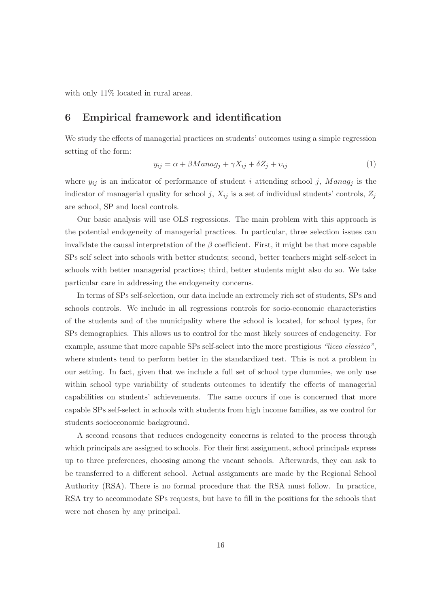with only 11% located in rural areas.

### 6 Empirical framework and identification

We study the effects of managerial practices on students' outcomes using a simple regression setting of the form:

$$
y_{ij} = \alpha + \beta Manag_j + \gamma X_{ij} + \delta Z_j + v_{ij}
$$
\n<sup>(1)</sup>

where  $y_{ij}$  is an indicator of performance of student i attending school j, Manag<sub>j</sub> is the indicator of managerial quality for school j,  $X_{ij}$  is a set of individual students' controls,  $Z_j$ are school, SP and local controls.

Our basic analysis will use OLS regressions. The main problem with this approach is the potential endogeneity of managerial practices. In particular, three selection issues can invalidate the causal interpretation of the  $\beta$  coefficient. First, it might be that more capable SPs self select into schools with better students; second, better teachers might self-select in schools with better managerial practices; third, better students might also do so. We take particular care in addressing the endogeneity concerns.

In terms of SPs self-selection, our data include an extremely rich set of students, SPs and schools controls. We include in all regressions controls for socio-economic characteristics of the students and of the municipality where the school is located, for school types, for SPs demographics. This allows us to control for the most likely sources of endogeneity. For example, assume that more capable SPs self-select into the more prestigious "liceo classico", where students tend to perform better in the standardized test. This is not a problem in our setting. In fact, given that we include a full set of school type dummies, we only use within school type variability of students outcomes to identify the effects of managerial capabilities on students' achievements. The same occurs if one is concerned that more capable SPs self-select in schools with students from high income families, as we control for students socioeconomic background.

A second reasons that reduces endogeneity concerns is related to the process through which principals are assigned to schools. For their first assignment, school principals express up to three preferences, choosing among the vacant schools. Afterwards, they can ask to be transferred to a different school. Actual assignments are made by the Regional School Authority (RSA). There is no formal procedure that the RSA must follow. In practice, RSA try to accommodate SPs requests, but have to fill in the positions for the schools that were not chosen by any principal.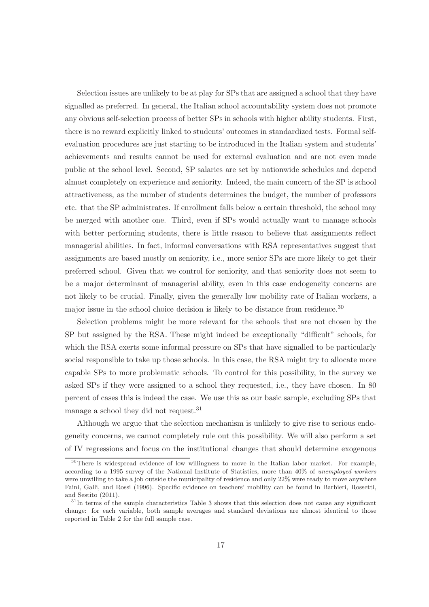Selection issues are unlikely to be at play for SPs that are assigned a school that they have signalled as preferred. In general, the Italian school accountability system does not promote any obvious self-selection process of better SPs in schools with higher ability students. First, there is no reward explicitly linked to students' outcomes in standardized tests. Formal selfevaluation procedures are just starting to be introduced in the Italian system and students' achievements and results cannot be used for external evaluation and are not even made public at the school level. Second, SP salaries are set by nationwide schedules and depend almost completely on experience and seniority. Indeed, the main concern of the SP is school attractiveness, as the number of students determines the budget, the number of professors etc. that the SP administrates. If enrollment falls below a certain threshold, the school may be merged with another one. Third, even if SPs would actually want to manage schools with better performing students, there is little reason to believe that assignments reflect managerial abilities. In fact, informal conversations with RSA representatives suggest that assignments are based mostly on seniority, i.e., more senior SPs are more likely to get their preferred school. Given that we control for seniority, and that seniority does not seem to be a major determinant of managerial ability, even in this case endogeneity concerns are not likely to be crucial. Finally, given the generally low mobility rate of Italian workers, a major issue in the school choice decision is likely to be distance from residence.<sup>30</sup>

Selection problems might be more relevant for the schools that are not chosen by the SP but assigned by the RSA. These might indeed be exceptionally "difficult" schools, for which the RSA exerts some informal pressure on SPs that have signalled to be particularly social responsible to take up those schools. In this case, the RSA might try to allocate more capable SPs to more problematic schools. To control for this possibility, in the survey we asked SPs if they were assigned to a school they requested, i.e., they have chosen. In 80 percent of cases this is indeed the case. We use this as our basic sample, excluding SPs that manage a school they did not request.<sup>31</sup>

Although we argue that the selection mechanism is unlikely to give rise to serious endogeneity concerns, we cannot completely rule out this possibility. We will also perform a set of IV regressions and focus on the institutional changes that should determine exogenous

<sup>&</sup>lt;sup>30</sup>There is widespread evidence of low willingness to move in the Italian labor market. For example, according to a 1995 survey of the National Institute of Statistics, more than 40% of unemployed workers were unwilling to take a job outside the municipality of residence and only 22% were ready to move anywhere Faini, Galli, and Rossi (1996). Specific evidence on teachers' mobility can be found in Barbieri, Rossetti, and Sestito (2011).

 $31$ In terms of the sample characteristics Table 3 shows that this selection does not cause any significant change: for each variable, both sample averages and standard deviations are almost identical to those reported in Table 2 for the full sample case.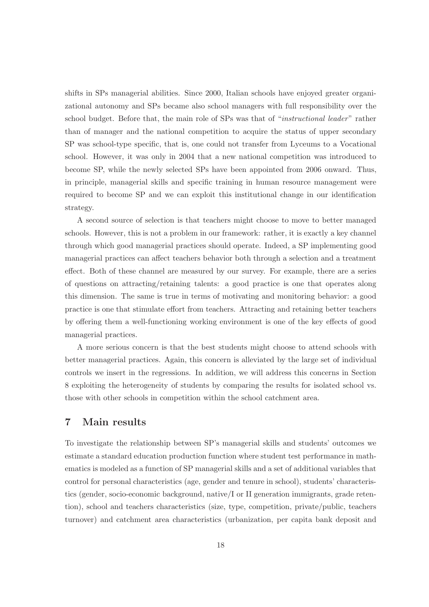shifts in SPs managerial abilities. Since 2000, Italian schools have enjoyed greater organizational autonomy and SPs became also school managers with full responsibility over the school budget. Before that, the main role of SPs was that of "instructional leader" rather than of manager and the national competition to acquire the status of upper secondary SP was school-type specific, that is, one could not transfer from Lyceums to a Vocational school. However, it was only in 2004 that a new national competition was introduced to become SP, while the newly selected SPs have been appointed from 2006 onward. Thus, in principle, managerial skills and specific training in human resource management were required to become SP and we can exploit this institutional change in our identification strategy.

A second source of selection is that teachers might choose to move to better managed schools. However, this is not a problem in our framework: rather, it is exactly a key channel through which good managerial practices should operate. Indeed, a SP implementing good managerial practices can affect teachers behavior both through a selection and a treatment effect. Both of these channel are measured by our survey. For example, there are a series of questions on attracting/retaining talents: a good practice is one that operates along this dimension. The same is true in terms of motivating and monitoring behavior: a good practice is one that stimulate effort from teachers. Attracting and retaining better teachers by offering them a well-functioning working environment is one of the key effects of good managerial practices.

A more serious concern is that the best students might choose to attend schools with better managerial practices. Again, this concern is alleviated by the large set of individual controls we insert in the regressions. In addition, we will address this concerns in Section 8 exploiting the heterogeneity of students by comparing the results for isolated school vs. those with other schools in competition within the school catchment area.

### 7 Main results

To investigate the relationship between SP's managerial skills and students' outcomes we estimate a standard education production function where student test performance in mathematics is modeled as a function of SP managerial skills and a set of additional variables that control for personal characteristics (age, gender and tenure in school), students' characteristics (gender, socio-economic background, native/I or II generation immigrants, grade retention), school and teachers characteristics (size, type, competition, private/public, teachers turnover) and catchment area characteristics (urbanization, per capita bank deposit and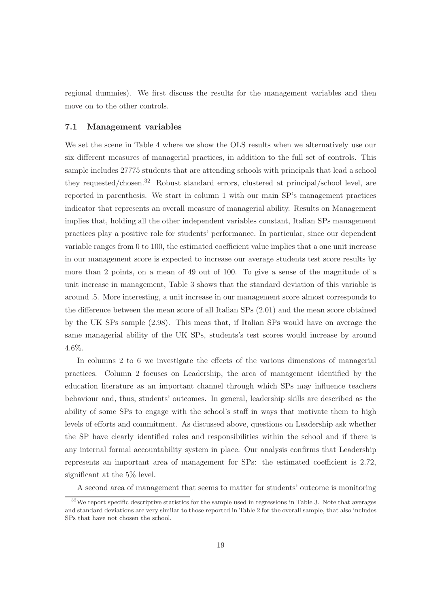regional dummies). We first discuss the results for the management variables and then move on to the other controls.

#### 7.1 Management variables

We set the scene in Table 4 where we show the OLS results when we alternatively use our six different measures of managerial practices, in addition to the full set of controls. This sample includes 27775 students that are attending schools with principals that lead a school they requested/chosen.<sup>32</sup> Robust standard errors, clustered at principal/school level, are reported in parenthesis. We start in column 1 with our main SP's management practices indicator that represents an overall measure of managerial ability. Results on Management implies that, holding all the other independent variables constant, Italian SPs management practices play a positive role for students' performance. In particular, since our dependent variable ranges from 0 to 100, the estimated coefficient value implies that a one unit increase in our management score is expected to increase our average students test score results by more than 2 points, on a mean of 49 out of 100. To give a sense of the magnitude of a unit increase in management, Table 3 shows that the standard deviation of this variable is around .5. More interesting, a unit increase in our management score almost corresponds to the difference between the mean score of all Italian SPs (2.01) and the mean score obtained by the UK SPs sample (2.98). This meas that, if Italian SPs would have on average the same managerial ability of the UK SPs, students's test scores would increase by around 4.6%.

In columns 2 to 6 we investigate the effects of the various dimensions of managerial practices. Column 2 focuses on Leadership, the area of management identified by the education literature as an important channel through which SPs may influence teachers behaviour and, thus, students' outcomes. In general, leadership skills are described as the ability of some SPs to engage with the school's staff in ways that motivate them to high levels of efforts and commitment. As discussed above, questions on Leadership ask whether the SP have clearly identified roles and responsibilities within the school and if there is any internal formal accountability system in place. Our analysis confirms that Leadership represents an important area of management for SPs: the estimated coefficient is 2.72, significant at the 5% level.

A second area of management that seems to matter for students' outcome is monitoring

<sup>&</sup>lt;sup>32</sup>We report specific descriptive statistics for the sample used in regressions in Table 3. Note that averages and standard deviations are very similar to those reported in Table 2 for the overall sample, that also includes SPs that have not chosen the school.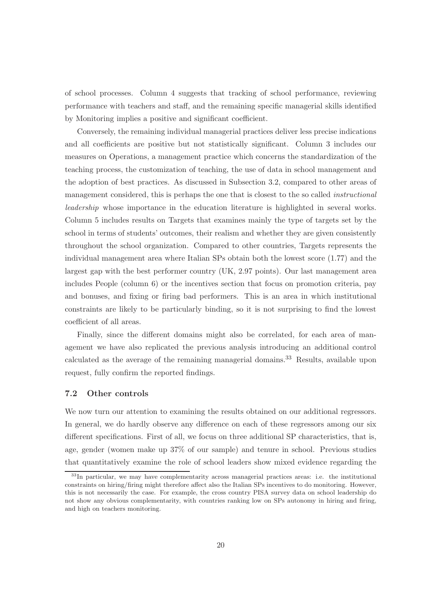of school processes. Column 4 suggests that tracking of school performance, reviewing performance with teachers and staff, and the remaining specific managerial skills identified by Monitoring implies a positive and significant coefficient.

Conversely, the remaining individual managerial practices deliver less precise indications and all coefficients are positive but not statistically significant. Column 3 includes our measures on Operations, a management practice which concerns the standardization of the teaching process, the customization of teaching, the use of data in school management and the adoption of best practices. As discussed in Subsection 3.2, compared to other areas of management considered, this is perhaps the one that is closest to the so called instructional leadership whose importance in the education literature is highlighted in several works. Column 5 includes results on Targets that examines mainly the type of targets set by the school in terms of students' outcomes, their realism and whether they are given consistently throughout the school organization. Compared to other countries, Targets represents the individual management area where Italian SPs obtain both the lowest score (1.77) and the largest gap with the best performer country (UK, 2.97 points). Our last management area includes People (column 6) or the incentives section that focus on promotion criteria, pay and bonuses, and fixing or firing bad performers. This is an area in which institutional constraints are likely to be particularly binding, so it is not surprising to find the lowest coefficient of all areas.

Finally, since the different domains might also be correlated, for each area of management we have also replicated the previous analysis introducing an additional control calculated as the average of the remaining managerial domains.<sup>33</sup> Results, available upon request, fully confirm the reported findings.

#### 7.2 Other controls

We now turn our attention to examining the results obtained on our additional regressors. In general, we do hardly observe any difference on each of these regressors among our six different specifications. First of all, we focus on three additional SP characteristics, that is, age, gender (women make up 37% of our sample) and tenure in school. Previous studies that quantitatively examine the role of school leaders show mixed evidence regarding the

<sup>&</sup>lt;sup>33</sup>In particular, we may have complementarity across managerial practices areas: i.e. the institutional constraints on hiring/firing might therefore affect also the Italian SPs incentives to do monitoring. However, this is not necessarily the case. For example, the cross country PISA survey data on school leadership do not show any obvious complementarity, with countries ranking low on SPs autonomy in hiring and firing, and high on teachers monitoring.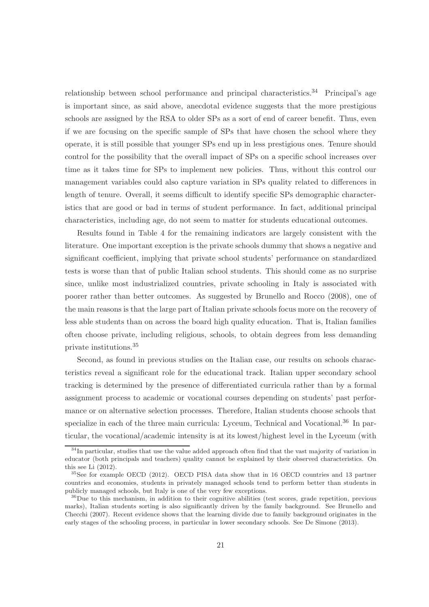relationship between school performance and principal characteristics.<sup>34</sup> Principal's age is important since, as said above, anecdotal evidence suggests that the more prestigious schools are assigned by the RSA to older SPs as a sort of end of career benefit. Thus, even if we are focusing on the specific sample of SPs that have chosen the school where they operate, it is still possible that younger SPs end up in less prestigious ones. Tenure should control for the possibility that the overall impact of SPs on a specific school increases over time as it takes time for SPs to implement new policies. Thus, without this control our management variables could also capture variation in SPs quality related to differences in length of tenure. Overall, it seems difficult to identify specific SPs demographic characteristics that are good or bad in terms of student performance. In fact, additional principal characteristics, including age, do not seem to matter for students educational outcomes.

Results found in Table 4 for the remaining indicators are largely consistent with the literature. One important exception is the private schools dummy that shows a negative and significant coefficient, implying that private school students' performance on standardized tests is worse than that of public Italian school students. This should come as no surprise since, unlike most industrialized countries, private schooling in Italy is associated with poorer rather than better outcomes. As suggested by Brunello and Rocco (2008), one of the main reasons is that the large part of Italian private schools focus more on the recovery of less able students than on across the board high quality education. That is, Italian families often choose private, including religious, schools, to obtain degrees from less demanding private institutions.<sup>35</sup>

Second, as found in previous studies on the Italian case, our results on schools characteristics reveal a significant role for the educational track. Italian upper secondary school tracking is determined by the presence of differentiated curricula rather than by a formal assignment process to academic or vocational courses depending on students' past performance or on alternative selection processes. Therefore, Italian students choose schools that specialize in each of the three main curricula: Lyceum, Technical and Vocational.<sup>36</sup> In particular, the vocational/academic intensity is at its lowest/highest level in the Lyceum (with

 $34$ In particular, studies that use the value added approach often find that the vast majority of variation in educator (both principals and teachers) quality cannot be explained by their observed characteristics. On this see Li (2012).

<sup>35</sup>See for example OECD (2012). OECD PISA data show that in 16 OECD countries and 13 partner countries and economies, students in privately managed schools tend to perform better than students in publicly managed schools, but Italy is one of the very few exceptions.

 ${}^{36}$ Due to this mechanism, in addition to their cognitive abilities (test scores, grade repetition, previous marks), Italian students sorting is also significantly driven by the family background. See Brunello and Checchi (2007). Recent evidence shows that the learning divide due to family background originates in the early stages of the schooling process, in particular in lower secondary schools. See De Simone (2013).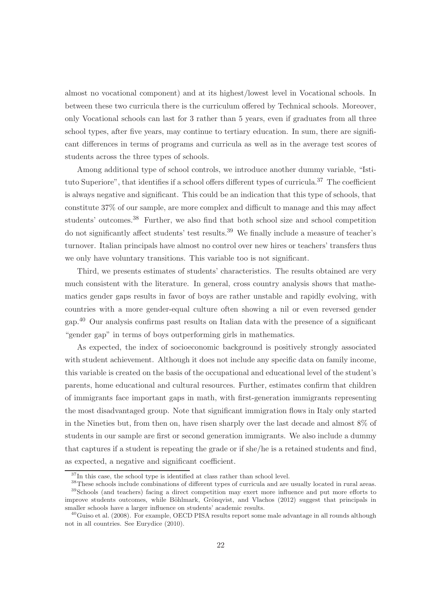almost no vocational component) and at its highest/lowest level in Vocational schools. In between these two curricula there is the curriculum offered by Technical schools. Moreover, only Vocational schools can last for 3 rather than 5 years, even if graduates from all three school types, after five years, may continue to tertiary education. In sum, there are significant differences in terms of programs and curricula as well as in the average test scores of students across the three types of schools.

Among additional type of school controls, we introduce another dummy variable, "Istituto Superiore", that identifies if a school offers different types of curricula.<sup>37</sup> The coefficient is always negative and significant. This could be an indication that this type of schools, that constitute 37% of our sample, are more complex and difficult to manage and this may affect students' outcomes.<sup>38</sup> Further, we also find that both school size and school competition do not significantly affect students' test results.<sup>39</sup> We finally include a measure of teacher's turnover. Italian principals have almost no control over new hires or teachers' transfers thus we only have voluntary transitions. This variable too is not significant.

Third, we presents estimates of students' characteristics. The results obtained are very much consistent with the literature. In general, cross country analysis shows that mathematics gender gaps results in favor of boys are rather unstable and rapidly evolving, with countries with a more gender-equal culture often showing a nil or even reversed gender gap.<sup>40</sup> Our analysis confirms past results on Italian data with the presence of a significant "gender gap" in terms of boys outperforming girls in mathematics.

As expected, the index of socioeconomic background is positively strongly associated with student achievement. Although it does not include any specific data on family income, this variable is created on the basis of the occupational and educational level of the student's parents, home educational and cultural resources. Further, estimates confirm that children of immigrants face important gaps in math, with first-generation immigrants representing the most disadvantaged group. Note that significant immigration flows in Italy only started in the Nineties but, from then on, have risen sharply over the last decade and almost 8% of students in our sample are first or second generation immigrants. We also include a dummy that captures if a student is repeating the grade or if she/he is a retained students and find, as expected, a negative and significant coefficient.

<sup>&</sup>lt;sup>37</sup>In this case, the school type is identified at class rather than school level.

<sup>38</sup>These schools include combinations of different types of curricula and are usually located in rural areas. <sup>39</sup>Schools (and teachers) facing a direct competition may exert more influence and put more efforts to improve students outcomes, while Böhlmark, Grönqvist, and Vlachos (2012) suggest that principals in smaller schools have a larger influence on students' academic results.

 $^{40}$ Guiso et al. (2008). For example, OECD PISA results report some male advantage in all rounds although not in all countries. See Eurydice (2010).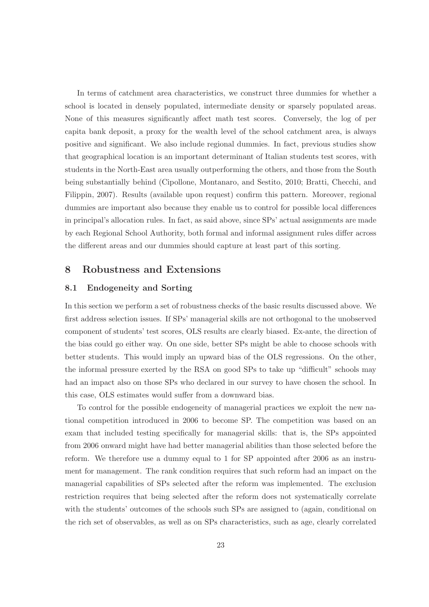In terms of catchment area characteristics, we construct three dummies for whether a school is located in densely populated, intermediate density or sparsely populated areas. None of this measures significantly affect math test scores. Conversely, the log of per capita bank deposit, a proxy for the wealth level of the school catchment area, is always positive and significant. We also include regional dummies. In fact, previous studies show that geographical location is an important determinant of Italian students test scores, with students in the North-East area usually outperforming the others, and those from the South being substantially behind (Cipollone, Montanaro, and Sestito, 2010; Bratti, Checchi, and Filippin, 2007). Results (available upon request) confirm this pattern. Moreover, regional dummies are important also because they enable us to control for possible local differences in principal's allocation rules. In fact, as said above, since SPs' actual assignments are made by each Regional School Authority, both formal and informal assignment rules differ across the different areas and our dummies should capture at least part of this sorting.

#### 8 Robustness and Extensions

#### 8.1 Endogeneity and Sorting

In this section we perform a set of robustness checks of the basic results discussed above. We first address selection issues. If SPs' managerial skills are not orthogonal to the unobserved component of students' test scores, OLS results are clearly biased. Ex-ante, the direction of the bias could go either way. On one side, better SPs might be able to choose schools with better students. This would imply an upward bias of the OLS regressions. On the other, the informal pressure exerted by the RSA on good SPs to take up "difficult" schools may had an impact also on those SPs who declared in our survey to have chosen the school. In this case, OLS estimates would suffer from a downward bias.

To control for the possible endogeneity of managerial practices we exploit the new national competition introduced in 2006 to become SP. The competition was based on an exam that included testing specifically for managerial skills: that is, the SPs appointed from 2006 onward might have had better managerial abilities than those selected before the reform. We therefore use a dummy equal to 1 for SP appointed after 2006 as an instrument for management. The rank condition requires that such reform had an impact on the managerial capabilities of SPs selected after the reform was implemented. The exclusion restriction requires that being selected after the reform does not systematically correlate with the students' outcomes of the schools such SPs are assigned to (again, conditional on the rich set of observables, as well as on SPs characteristics, such as age, clearly correlated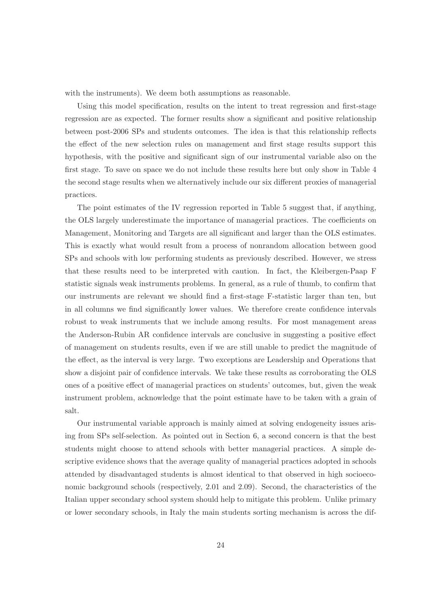with the instruments). We deem both assumptions as reasonable.

Using this model specification, results on the intent to treat regression and first-stage regression are as expected. The former results show a significant and positive relationship between post-2006 SPs and students outcomes. The idea is that this relationship reflects the effect of the new selection rules on management and first stage results support this hypothesis, with the positive and significant sign of our instrumental variable also on the first stage. To save on space we do not include these results here but only show in Table 4 the second stage results when we alternatively include our six different proxies of managerial practices.

The point estimates of the IV regression reported in Table 5 suggest that, if anything, the OLS largely underestimate the importance of managerial practices. The coefficients on Management, Monitoring and Targets are all significant and larger than the OLS estimates. This is exactly what would result from a process of nonrandom allocation between good SPs and schools with low performing students as previously described. However, we stress that these results need to be interpreted with caution. In fact, the Kleibergen-Paap F statistic signals weak instruments problems. In general, as a rule of thumb, to confirm that our instruments are relevant we should find a first-stage F-statistic larger than ten, but in all columns we find significantly lower values. We therefore create confidence intervals robust to weak instruments that we include among results. For most management areas the Anderson-Rubin AR confidence intervals are conclusive in suggesting a positive effect of management on students results, even if we are still unable to predict the magnitude of the effect, as the interval is very large. Two exceptions are Leadership and Operations that show a disjoint pair of confidence intervals. We take these results as corroborating the OLS ones of a positive effect of managerial practices on students' outcomes, but, given the weak instrument problem, acknowledge that the point estimate have to be taken with a grain of salt.

Our instrumental variable approach is mainly aimed at solving endogeneity issues arising from SPs self-selection. As pointed out in Section 6, a second concern is that the best students might choose to attend schools with better managerial practices. A simple descriptive evidence shows that the average quality of managerial practices adopted in schools attended by disadvantaged students is almost identical to that observed in high socioeconomic background schools (respectively, 2.01 and 2.09). Second, the characteristics of the Italian upper secondary school system should help to mitigate this problem. Unlike primary or lower secondary schools, in Italy the main students sorting mechanism is across the dif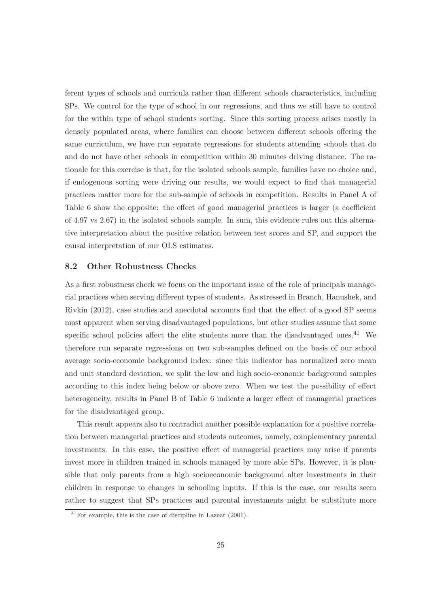ferent types of schools and curricula rather than different schools characteristics, including SPs. We control for the type of school in our regressions, and thus we still have to control for the within type of school students sorting. Since this sorting process arises mostly in densely populated areas, where families can choose between different schools offering the same curriculum, we have run separate regressions for students attending schools that do and do not have other schools in competition within 30 minutes driving distance. The rationale for this exercise is that, for the isolated schools sample, families have no choice and, if endogenous sorting were driving our results, we would expect to find that managerial practices matter more for the sub-sample of schools in competition. Results in Panel A of Table 6 show the opposite: the effect of good managerial practices is larger (a coefficient of 4.97 vs 2.67) in the isolated schools sample. In sum, this evidence rules out this alternative interpretation about the positive relation between test scores and SP, and support the causal interpretation of our OLS estimates.

#### 8.2 Other Robustness Checks

As a first robustness check we focus on the important issue of the role of principals managerial practices when serving different types of students. As stressed in Branch, Hanushek, and Rivkin (2012), case studies and anecdotal accounts find that the effect of a good SP seems most apparent when serving disadvantaged populations, but other studies assume that some specific school policies affect the elite students more than the disadvantaged ones.<sup>41</sup> We therefore run separate regressions on two sub-samples defined on the basis of our school average socio-economic background index: since this indicator has normalized zero mean and unit standard deviation, we split the low and high socio-economic background samples according to this index being below or above zero. When we test the possibility of effect heterogeneity, results in Panel B of Table 6 indicate a larger effect of managerial practices for the disadvantaged group.

This result appears also to contradict another possible explanation for a positive correlation between managerial practices and students outcomes, namely, complementary parental investments. In this case, the positive effect of managerial practices may arise if parents invest more in children trained in schools managed by more able SPs. However, it is plausible that only parents from a high socioeconomic background alter investments in their children in response to changes in schooling inputs. If this is the case, our results seem rather to suggest that SPs practices and parental investments might be substitute more

 $^{41}$ For example, this is the case of discipline in Lazear (2001).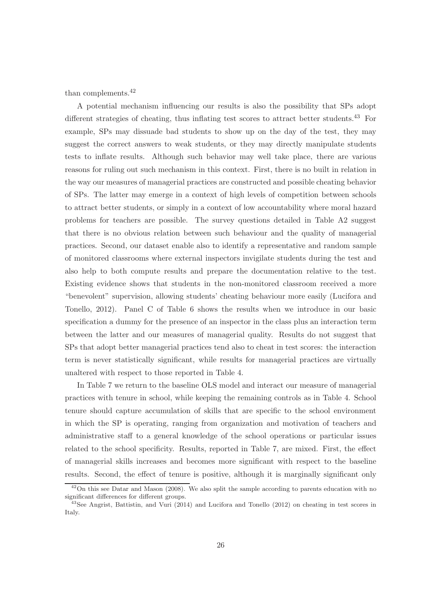than complements.<sup>42</sup>

A potential mechanism influencing our results is also the possibility that SPs adopt different strategies of cheating, thus inflating test scores to attract better students.<sup>43</sup> For example, SPs may dissuade bad students to show up on the day of the test, they may suggest the correct answers to weak students, or they may directly manipulate students tests to inflate results. Although such behavior may well take place, there are various reasons for ruling out such mechanism in this context. First, there is no built in relation in the way our measures of managerial practices are constructed and possible cheating behavior of SPs. The latter may emerge in a context of high levels of competition between schools to attract better students, or simply in a context of low accountability where moral hazard problems for teachers are possible. The survey questions detailed in Table A2 suggest that there is no obvious relation between such behaviour and the quality of managerial practices. Second, our dataset enable also to identify a representative and random sample of monitored classrooms where external inspectors invigilate students during the test and also help to both compute results and prepare the documentation relative to the test. Existing evidence shows that students in the non-monitored classroom received a more "benevolent" supervision, allowing students' cheating behaviour more easily (Lucifora and Tonello, 2012). Panel C of Table 6 shows the results when we introduce in our basic specification a dummy for the presence of an inspector in the class plus an interaction term between the latter and our measures of managerial quality. Results do not suggest that SPs that adopt better managerial practices tend also to cheat in test scores: the interaction term is never statistically significant, while results for managerial practices are virtually unaltered with respect to those reported in Table 4.

In Table 7 we return to the baseline OLS model and interact our measure of managerial practices with tenure in school, while keeping the remaining controls as in Table 4. School tenure should capture accumulation of skills that are specific to the school environment in which the SP is operating, ranging from organization and motivation of teachers and administrative staff to a general knowledge of the school operations or particular issues related to the school specificity. Results, reported in Table 7, are mixed. First, the effect of managerial skills increases and becomes more significant with respect to the baseline results. Second, the effect of tenure is positive, although it is marginally significant only

 $42$ On this see Datar and Mason (2008). We also split the sample according to parents education with no significant differences for different groups.

<sup>43</sup>See Angrist, Battistin, and Vuri (2014) and Lucifora and Tonello (2012) on cheating in test scores in Italy.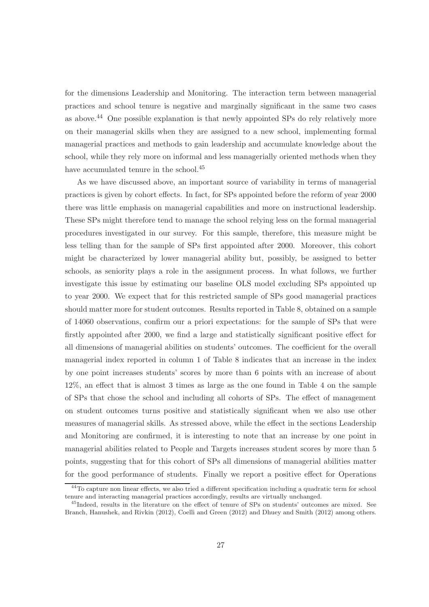for the dimensions Leadership and Monitoring. The interaction term between managerial practices and school tenure is negative and marginally significant in the same two cases as above.<sup>44</sup> One possible explanation is that newly appointed SPs do rely relatively more on their managerial skills when they are assigned to a new school, implementing formal managerial practices and methods to gain leadership and accumulate knowledge about the school, while they rely more on informal and less managerially oriented methods when they have accumulated tenure in the school.<sup>45</sup>

As we have discussed above, an important source of variability in terms of managerial practices is given by cohort effects. In fact, for SPs appointed before the reform of year 2000 there was little emphasis on managerial capabilities and more on instructional leadership. These SPs might therefore tend to manage the school relying less on the formal managerial procedures investigated in our survey. For this sample, therefore, this measure might be less telling than for the sample of SPs first appointed after 2000. Moreover, this cohort might be characterized by lower managerial ability but, possibly, be assigned to better schools, as seniority plays a role in the assignment process. In what follows, we further investigate this issue by estimating our baseline OLS model excluding SPs appointed up to year 2000. We expect that for this restricted sample of SPs good managerial practices should matter more for student outcomes. Results reported in Table 8, obtained on a sample of 14060 observations, confirm our a priori expectations: for the sample of SPs that were firstly appointed after 2000, we find a large and statistically significant positive effect for all dimensions of managerial abilities on students' outcomes. The coefficient for the overall managerial index reported in column 1 of Table 8 indicates that an increase in the index by one point increases students' scores by more than 6 points with an increase of about 12%, an effect that is almost 3 times as large as the one found in Table 4 on the sample of SPs that chose the school and including all cohorts of SPs. The effect of management on student outcomes turns positive and statistically significant when we also use other measures of managerial skills. As stressed above, while the effect in the sections Leadership and Monitoring are confirmed, it is interesting to note that an increase by one point in managerial abilities related to People and Targets increases student scores by more than 5 points, suggesting that for this cohort of SPs all dimensions of managerial abilities matter for the good performance of students. Finally we report a positive effect for Operations

<sup>&</sup>lt;sup>44</sup>To capture non linear effects, we also tried a different specification including a quadratic term for school tenure and interacting managerial practices accordingly, results are virtually unchanged.

<sup>45</sup>Indeed, results in the literature on the effect of tenure of SPs on students' outcomes are mixed. See Branch, Hanushek, and Rivkin (2012), Coelli and Green (2012) and Dhuey and Smith (2012) among others.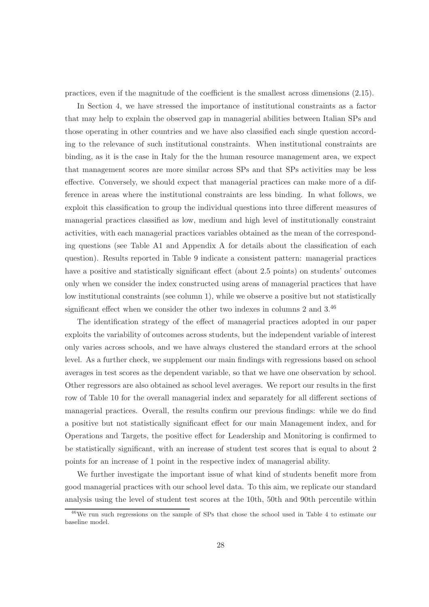practices, even if the magnitude of the coefficient is the smallest across dimensions (2.15).

In Section 4, we have stressed the importance of institutional constraints as a factor that may help to explain the observed gap in managerial abilities between Italian SPs and those operating in other countries and we have also classified each single question according to the relevance of such institutional constraints. When institutional constraints are binding, as it is the case in Italy for the the human resource management area, we expect that management scores are more similar across SPs and that SPs activities may be less effective. Conversely, we should expect that managerial practices can make more of a difference in areas where the institutional constraints are less binding. In what follows, we exploit this classification to group the individual questions into three different measures of managerial practices classified as low, medium and high level of institutionally constraint activities, with each managerial practices variables obtained as the mean of the corresponding questions (see Table A1 and Appendix A for details about the classification of each question). Results reported in Table 9 indicate a consistent pattern: managerial practices have a positive and statistically significant effect (about 2.5 points) on students' outcomes only when we consider the index constructed using areas of managerial practices that have low institutional constraints (see column 1), while we observe a positive but not statistically significant effect when we consider the other two indexes in columns 2 and 3.<sup>46</sup>

The identification strategy of the effect of managerial practices adopted in our paper exploits the variability of outcomes across students, but the independent variable of interest only varies across schools, and we have always clustered the standard errors at the school level. As a further check, we supplement our main findings with regressions based on school averages in test scores as the dependent variable, so that we have one observation by school. Other regressors are also obtained as school level averages. We report our results in the first row of Table 10 for the overall managerial index and separately for all different sections of managerial practices. Overall, the results confirm our previous findings: while we do find a positive but not statistically significant effect for our main Management index, and for Operations and Targets, the positive effect for Leadership and Monitoring is confirmed to be statistically significant, with an increase of student test scores that is equal to about 2 points for an increase of 1 point in the respective index of managerial ability.

We further investigate the important issue of what kind of students benefit more from good managerial practices with our school level data. To this aim, we replicate our standard analysis using the level of student test scores at the 10th, 50th and 90th percentile within

<sup>46</sup>We run such regressions on the sample of SPs that chose the school used in Table 4 to estimate our baseline model.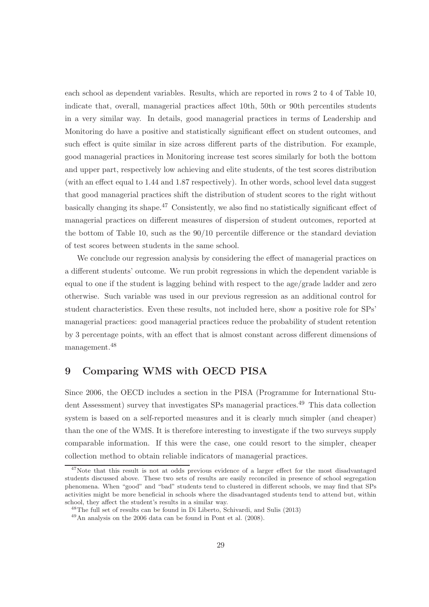each school as dependent variables. Results, which are reported in rows 2 to 4 of Table 10, indicate that, overall, managerial practices affect 10th, 50th or 90th percentiles students in a very similar way. In details, good managerial practices in terms of Leadership and Monitoring do have a positive and statistically significant effect on student outcomes, and such effect is quite similar in size across different parts of the distribution. For example, good managerial practices in Monitoring increase test scores similarly for both the bottom and upper part, respectively low achieving and elite students, of the test scores distribution (with an effect equal to 1.44 and 1.87 respectively). In other words, school level data suggest that good managerial practices shift the distribution of student scores to the right without basically changing its shape.<sup>47</sup> Consistently, we also find no statistically significant effect of managerial practices on different measures of dispersion of student outcomes, reported at the bottom of Table 10, such as the 90/10 percentile difference or the standard deviation of test scores between students in the same school.

We conclude our regression analysis by considering the effect of managerial practices on a different students' outcome. We run probit regressions in which the dependent variable is equal to one if the student is lagging behind with respect to the age/grade ladder and zero otherwise. Such variable was used in our previous regression as an additional control for student characteristics. Even these results, not included here, show a positive role for SPs' managerial practices: good managerial practices reduce the probability of student retention by 3 percentage points, with an effect that is almost constant across different dimensions of management.<sup>48</sup>

### 9 Comparing WMS with OECD PISA

Since 2006, the OECD includes a section in the PISA (Programme for International Student Assessment) survey that investigates SPs managerial practices.<sup>49</sup> This data collection system is based on a self-reported measures and it is clearly much simpler (and cheaper) than the one of the WMS. It is therefore interesting to investigate if the two surveys supply comparable information. If this were the case, one could resort to the simpler, cheaper collection method to obtain reliable indicators of managerial practices.

<sup>&</sup>lt;sup>47</sup>Note that this result is not at odds previous evidence of a larger effect for the most disadvantaged students discussed above. These two sets of results are easily reconciled in presence of school segregation phenomena. When "good" and "bad" students tend to clustered in different schools, we may find that SPs activities might be more beneficial in schools where the disadvantaged students tend to attend but, within school, they affect the student's results in a similar way.

<sup>48</sup>The full set of results can be found in Di Liberto, Schivardi, and Sulis (2013)

<sup>49</sup>An analysis on the 2006 data can be found in Pont et al. (2008).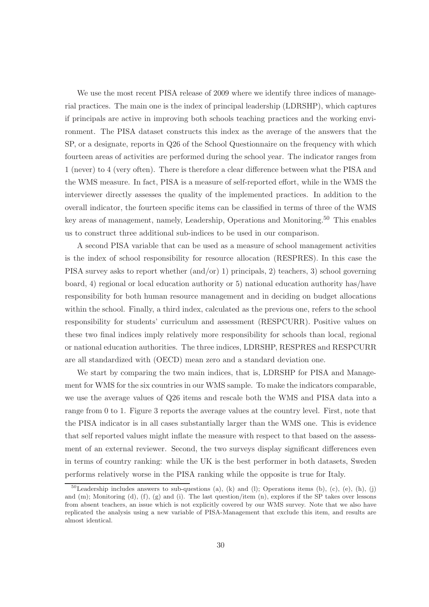We use the most recent PISA release of 2009 where we identify three indices of managerial practices. The main one is the index of principal leadership (LDRSHP), which captures if principals are active in improving both schools teaching practices and the working environment. The PISA dataset constructs this index as the average of the answers that the SP, or a designate, reports in Q26 of the School Questionnaire on the frequency with which fourteen areas of activities are performed during the school year. The indicator ranges from 1 (never) to 4 (very often). There is therefore a clear difference between what the PISA and the WMS measure. In fact, PISA is a measure of self-reported effort, while in the WMS the interviewer directly assesses the quality of the implemented practices. In addition to the overall indicator, the fourteen specific items can be classified in terms of three of the WMS key areas of management, namely, Leadership, Operations and Monitoring.<sup>50</sup> This enables us to construct three additional sub-indices to be used in our comparison.

A second PISA variable that can be used as a measure of school management activities is the index of school responsibility for resource allocation (RESPRES). In this case the PISA survey asks to report whether (and/or) 1) principals, 2) teachers, 3) school governing board, 4) regional or local education authority or 5) national education authority has/have responsibility for both human resource management and in deciding on budget allocations within the school. Finally, a third index, calculated as the previous one, refers to the school responsibility for students' curriculum and assessment (RESPCURR). Positive values on these two final indices imply relatively more responsibility for schools than local, regional or national education authorities. The three indices, LDRSHP, RESPRES and RESPCURR are all standardized with (OECD) mean zero and a standard deviation one.

We start by comparing the two main indices, that is, LDRSHP for PISA and Management for WMS for the six countries in our WMS sample. To make the indicators comparable, we use the average values of Q26 items and rescale both the WMS and PISA data into a range from 0 to 1. Figure 3 reports the average values at the country level. First, note that the PISA indicator is in all cases substantially larger than the WMS one. This is evidence that self reported values might inflate the measure with respect to that based on the assessment of an external reviewer. Second, the two surveys display significant differences even in terms of country ranking: while the UK is the best performer in both datasets, Sweden performs relatively worse in the PISA ranking while the opposite is true for Italy.

 $50$ Leadership includes answers to sub-questions (a), (k) and (l); Operations items (b), (c), (e), (h), (j) and  $(m)$ ; Monitoring  $(d)$ ,  $(f)$ ,  $(g)$  and  $(i)$ . The last question/item  $(n)$ , explores if the SP takes over lessons from absent teachers, an issue which is not explicitly covered by our WMS survey. Note that we also have replicated the analysis using a new variable of PISA-Management that exclude this item, and results are almost identical.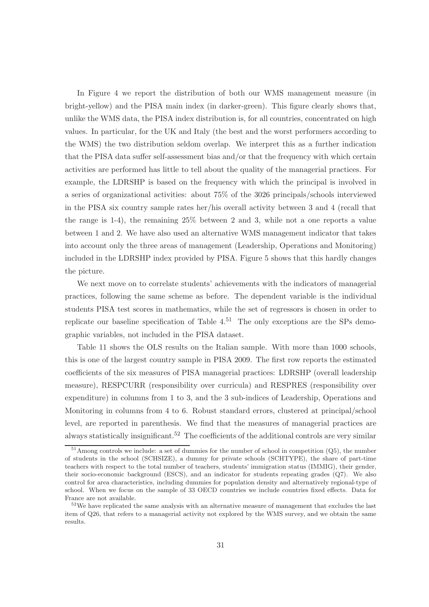In Figure 4 we report the distribution of both our WMS management measure (in bright-yellow) and the PISA main index (in darker-green). This figure clearly shows that, unlike the WMS data, the PISA index distribution is, for all countries, concentrated on high values. In particular, for the UK and Italy (the best and the worst performers according to the WMS) the two distribution seldom overlap. We interpret this as a further indication that the PISA data suffer self-assessment bias and/or that the frequency with which certain activities are performed has little to tell about the quality of the managerial practices. For example, the LDRSHP is based on the frequency with which the principal is involved in a series of organizational activities: about 75% of the 3026 principals/schools interviewed in the PISA six country sample rates her/his overall activity between 3 and 4 (recall that the range is 1-4), the remaining 25% between 2 and 3, while not a one reports a value between 1 and 2. We have also used an alternative WMS management indicator that takes into account only the three areas of management (Leadership, Operations and Monitoring) included in the LDRSHP index provided by PISA. Figure 5 shows that this hardly changes the picture.

We next move on to correlate students' achievements with the indicators of managerial practices, following the same scheme as before. The dependent variable is the individual students PISA test scores in mathematics, while the set of regressors is chosen in order to replicate our baseline specification of Table  $4^{.51}$  The only exceptions are the SPs demographic variables, not included in the PISA dataset.

Table 11 shows the OLS results on the Italian sample. With more than 1000 schools, this is one of the largest country sample in PISA 2009. The first row reports the estimated coefficients of the six measures of PISA managerial practices: LDRSHP (overall leadership measure), RESPCURR (responsibility over curricula) and RESPRES (responsibility over expenditure) in columns from 1 to 3, and the 3 sub-indices of Leadership, Operations and Monitoring in columns from 4 to 6. Robust standard errors, clustered at principal/school level, are reported in parenthesis. We find that the measures of managerial practices are always statistically insignificant.<sup>52</sup> The coefficients of the additional controls are very similar

<sup>&</sup>lt;sup>51</sup>Among controls we include: a set of dummies for the number of school in competition (Q5), the number of students in the school (SCHSIZE), a dummy for private schools (SCHTYPE), the share of part-time teachers with respect to the total number of teachers, students' immigration status (IMMIG), their gender, their socio-economic background (ESCS), and an indicator for students repeating grades (Q7). We also control for area characteristics, including dummies for population density and alternatively regional-type of school. When we focus on the sample of 33 OECD countries we include countries fixed effects. Data for France are not available.

 $52\text{We have replicated the same analysis with an alternative measure of management that excludes the last.}$ item of Q26, that refers to a managerial activity not explored by the WMS survey, and we obtain the same results.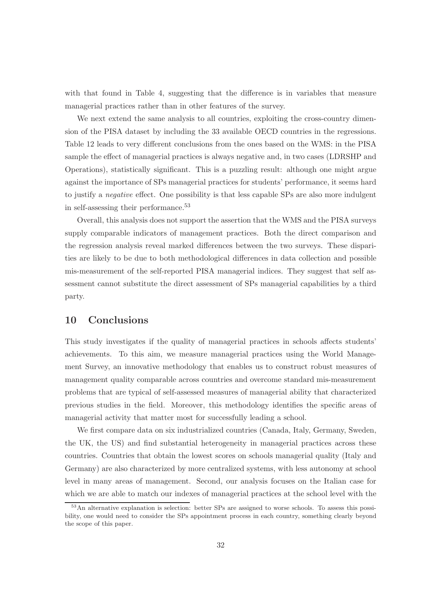with that found in Table 4, suggesting that the difference is in variables that measure managerial practices rather than in other features of the survey.

We next extend the same analysis to all countries, exploiting the cross-country dimension of the PISA dataset by including the 33 available OECD countries in the regressions. Table 12 leads to very different conclusions from the ones based on the WMS: in the PISA sample the effect of managerial practices is always negative and, in two cases (LDRSHP and Operations), statistically significant. This is a puzzling result: although one might argue against the importance of SPs managerial practices for students' performance, it seems hard to justify a negative effect. One possibility is that less capable SPs are also more indulgent in self-assessing their performance.  $\!53}$ 

Overall, this analysis does not support the assertion that the WMS and the PISA surveys supply comparable indicators of management practices. Both the direct comparison and the regression analysis reveal marked differences between the two surveys. These disparities are likely to be due to both methodological differences in data collection and possible mis-measurement of the self-reported PISA managerial indices. They suggest that self assessment cannot substitute the direct assessment of SPs managerial capabilities by a third party.

### 10 Conclusions

This study investigates if the quality of managerial practices in schools affects students' achievements. To this aim, we measure managerial practices using the World Management Survey, an innovative methodology that enables us to construct robust measures of management quality comparable across countries and overcome standard mis-measurement problems that are typical of self-assessed measures of managerial ability that characterized previous studies in the field. Moreover, this methodology identifies the specific areas of managerial activity that matter most for successfully leading a school.

We first compare data on six industrialized countries (Canada, Italy, Germany, Sweden, the UK, the US) and find substantial heterogeneity in managerial practices across these countries. Countries that obtain the lowest scores on schools managerial quality (Italy and Germany) are also characterized by more centralized systems, with less autonomy at school level in many areas of management. Second, our analysis focuses on the Italian case for which we are able to match our indexes of managerial practices at the school level with the

<sup>&</sup>lt;sup>53</sup>An alternative explanation is selection: better SPs are assigned to worse schools. To assess this possibility, one would need to consider the SPs appointment process in each country, something clearly beyond the scope of this paper.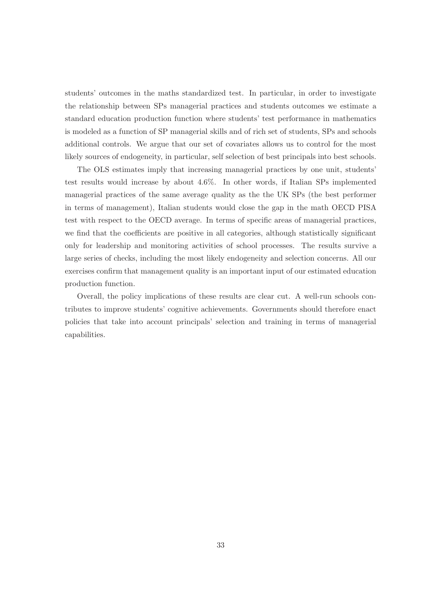students' outcomes in the maths standardized test. In particular, in order to investigate the relationship between SPs managerial practices and students outcomes we estimate a standard education production function where students' test performance in mathematics is modeled as a function of SP managerial skills and of rich set of students, SPs and schools additional controls. We argue that our set of covariates allows us to control for the most likely sources of endogeneity, in particular, self selection of best principals into best schools.

The OLS estimates imply that increasing managerial practices by one unit, students' test results would increase by about 4.6%. In other words, if Italian SPs implemented managerial practices of the same average quality as the the UK SPs (the best performer in terms of management), Italian students would close the gap in the math OECD PISA test with respect to the OECD average. In terms of specific areas of managerial practices, we find that the coefficients are positive in all categories, although statistically significant only for leadership and monitoring activities of school processes. The results survive a large series of checks, including the most likely endogeneity and selection concerns. All our exercises confirm that management quality is an important input of our estimated education production function.

Overall, the policy implications of these results are clear cut. A well-run schools contributes to improve students' cognitive achievements. Governments should therefore enact policies that take into account principals' selection and training in terms of managerial capabilities.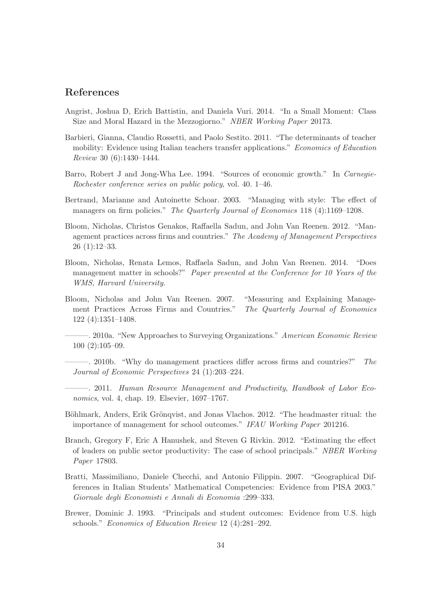### References

- Angrist, Joshua D, Erich Battistin, and Daniela Vuri. 2014. "In a Small Moment: Class Size and Moral Hazard in the Mezzogiorno." NBER Working Paper 20173.
- Barbieri, Gianna, Claudio Rossetti, and Paolo Sestito. 2011. "The determinants of teacher mobility: Evidence using Italian teachers transfer applications." Economics of Education Review 30 (6):1430–1444.
- Barro, Robert J and Jong-Wha Lee. 1994. "Sources of economic growth." In Carnegie-Rochester conference series on public policy, vol. 40. 1–46.
- Bertrand, Marianne and Antoinette Schoar. 2003. "Managing with style: The effect of managers on firm policies." The Quarterly Journal of Economics 118 (4):1169–1208.
- Bloom, Nicholas, Christos Genakos, Raffaella Sadun, and John Van Reenen. 2012. "Management practices across firms and countries." The Academy of Management Perspectives 26 (1):12–33.
- Bloom, Nicholas, Renata Lemos, Raffaela Sadun, and John Van Reenen. 2014. "Does management matter in schools?" Paper presented at the Conference for 10 Years of the WMS, Harvard University.
- Bloom, Nicholas and John Van Reenen. 2007. "Measuring and Explaining Management Practices Across Firms and Countries." The Quarterly Journal of Economics 122 (4):1351–1408.
- 2010a. "New Approaches to Surveying Organizations." American Economic Review 100 (2):105–09.
- $-$ , 2010b. "Why do management practices differ across firms and countries?" The Journal of Economic Perspectives 24 (1):203–224.
- ———. 2011. Human Resource Management and Productivity, Handbook of Labor Economics, vol. 4, chap. 19. Elsevier, 1697–1767.
- Böhlmark, Anders, Erik Grönqvist, and Jonas Vlachos. 2012. "The headmaster ritual: the importance of management for school outcomes." IFAU Working Paper 201216.
- Branch, Gregory F, Eric A Hanushek, and Steven G Rivkin. 2012. "Estimating the effect of leaders on public sector productivity: The case of school principals." NBER Working Paper 17803.
- Bratti, Massimiliano, Daniele Checchi, and Antonio Filippin. 2007. "Geographical Differences in Italian Students' Mathematical Competencies: Evidence from PISA 2003." Giornale degli Economisti e Annali di Economia :299–333.
- Brewer, Dominic J. 1993. "Principals and student outcomes: Evidence from U.S. high schools." Economics of Education Review 12 (4):281–292.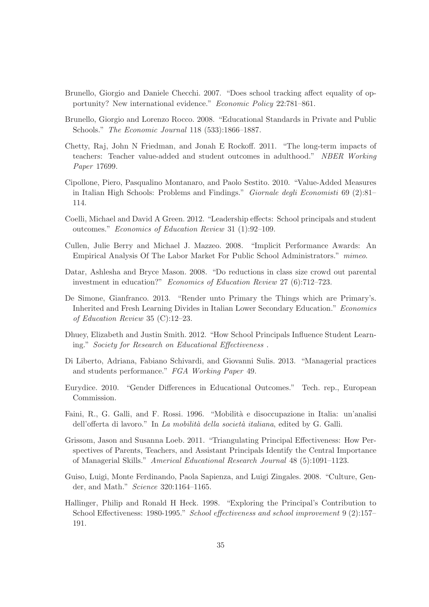- Brunello, Giorgio and Daniele Checchi. 2007. "Does school tracking affect equality of opportunity? New international evidence." Economic Policy 22:781–861.
- Brunello, Giorgio and Lorenzo Rocco. 2008. "Educational Standards in Private and Public Schools." The Economic Journal 118 (533):1866–1887.
- Chetty, Raj, John N Friedman, and Jonah E Rockoff. 2011. "The long-term impacts of teachers: Teacher value-added and student outcomes in adulthood." NBER Working Paper 17699.
- Cipollone, Piero, Pasqualino Montanaro, and Paolo Sestito. 2010. "Value-Added Measures in Italian High Schools: Problems and Findings." Giornale degli Economisti 69 (2):81– 114.
- Coelli, Michael and David A Green. 2012. "Leadership effects: School principals and student outcomes." Economics of Education Review 31 (1):92–109.
- Cullen, Julie Berry and Michael J. Mazzeo. 2008. "Implicit Performance Awards: An Empirical Analysis Of The Labor Market For Public School Administrators." mimeo.
- Datar, Ashlesha and Bryce Mason. 2008. "Do reductions in class size crowd out parental investment in education?" Economics of Education Review 27 (6):712–723.
- De Simone, Gianfranco. 2013. "Render unto Primary the Things which are Primary's. Inherited and Fresh Learning Divides in Italian Lower Secondary Education." Economics of Education Review 35 (C):12–23.
- Dhuey, Elizabeth and Justin Smith. 2012. "How School Principals Influence Student Learning." Society for Research on Educational Effectiveness .
- Di Liberto, Adriana, Fabiano Schivardi, and Giovanni Sulis. 2013. "Managerial practices and students performance." FGA Working Paper 49.
- Eurydice. 2010. "Gender Differences in Educational Outcomes." Tech. rep., European Commission.
- Faini, R., G. Galli, and F. Rossi. 1996. "Mobilità e disoccupazione in Italia: un'analisi dell'offerta di lavoro." In La mobilità della società italiana, edited by G. Galli.
- Grissom, Jason and Susanna Loeb. 2011. "Triangulating Principal Effectiveness: How Perspectives of Parents, Teachers, and Assistant Principals Identify the Central Importance of Managerial Skills." Americal Educational Research Journal 48 (5):1091–1123.
- Guiso, Luigi, Monte Ferdinando, Paola Sapienza, and Luigi Zingales. 2008. "Culture, Gender, and Math." Science 320:1164–1165.
- Hallinger, Philip and Ronald H Heck. 1998. "Exploring the Principal's Contribution to School Effectiveness: 1980-1995." School effectiveness and school improvement 9 (2):157-191.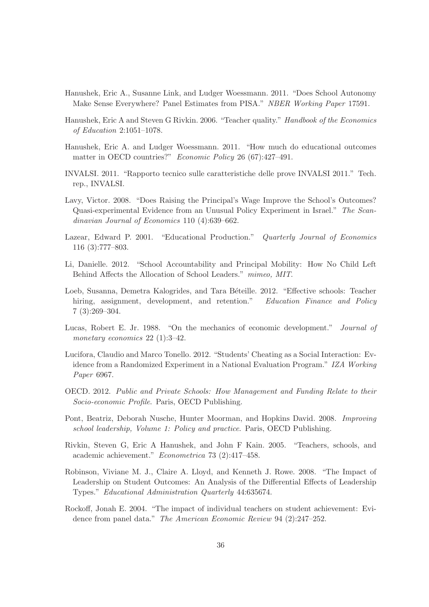- Hanushek, Eric A., Susanne Link, and Ludger Woessmann. 2011. "Does School Autonomy Make Sense Everywhere? Panel Estimates from PISA." NBER Working Paper 17591.
- Hanushek, Eric A and Steven G Rivkin. 2006. "Teacher quality." Handbook of the Economics of Education 2:1051–1078.
- Hanushek, Eric A. and Ludger Woessmann. 2011. "How much do educational outcomes matter in OECD countries?" Economic Policy 26 (67):427-491.
- INVALSI. 2011. "Rapporto tecnico sulle caratteristiche delle prove INVALSI 2011." Tech. rep., INVALSI.
- Lavy, Victor. 2008. "Does Raising the Principal's Wage Improve the School's Outcomes? Quasi-experimental Evidence from an Unusual Policy Experiment in Israel." The Scandinavian Journal of Economics 110 (4):639–662.
- Lazear, Edward P. 2001. "Educational Production." *Quarterly Journal of Economics* 116 (3):777–803.
- Li, Danielle. 2012. "School Accountability and Principal Mobility: How No Child Left Behind Affects the Allocation of School Leaders." mimeo, MIT.
- Loeb, Susanna, Demetra Kalogrides, and Tara Béteille. 2012. "Effective schools: Teacher hiring, assignment, development, and retention." Education Finance and Policy 7 (3):269–304.
- Lucas, Robert E. Jr. 1988. "On the mechanics of economic development." Journal of monetary economics 22 (1):3-42.
- Lucifora, Claudio and Marco Tonello. 2012. "Students' Cheating as a Social Interaction: Evidence from a Randomized Experiment in a National Evaluation Program." IZA Working Paper 6967.
- OECD. 2012. Public and Private Schools: How Management and Funding Relate to their Socio-economic Profile. Paris, OECD Publishing.
- Pont, Beatriz, Deborah Nusche, Hunter Moorman, and Hopkins David. 2008. Improving school leadership, Volume 1: Policy and practice. Paris, OECD Publishing.
- Rivkin, Steven G, Eric A Hanushek, and John F Kain. 2005. "Teachers, schools, and academic achievement." Econometrica 73 (2):417–458.
- Robinson, Viviane M. J., Claire A. Lloyd, and Kenneth J. Rowe. 2008. "The Impact of Leadership on Student Outcomes: An Analysis of the Differential Effects of Leadership Types." Educational Administration Quarterly 44:635674.
- Rockoff, Jonah E. 2004. "The impact of individual teachers on student achievement: Evidence from panel data." The American Economic Review 94 (2):247-252.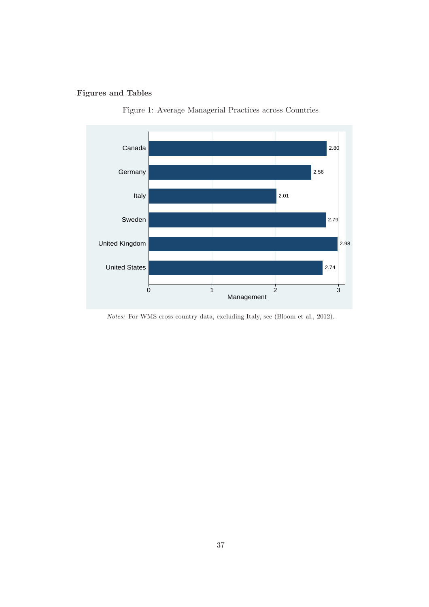### Figures and Tables





Notes: For WMS cross country data, excluding Italy, see (Bloom et al., 2012).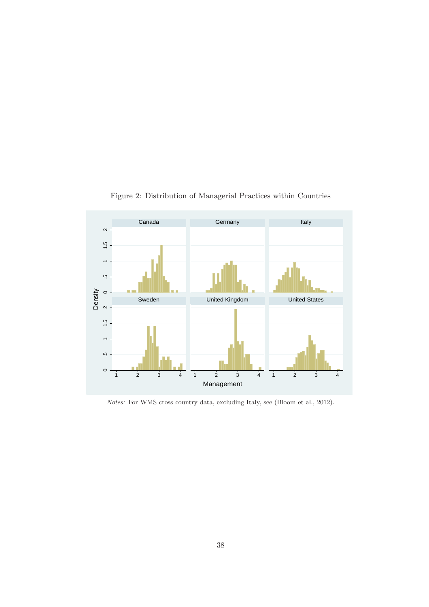

Figure 2: Distribution of Managerial Practices within Countries

Notes: For WMS cross country data, excluding Italy, see (Bloom et al., 2012).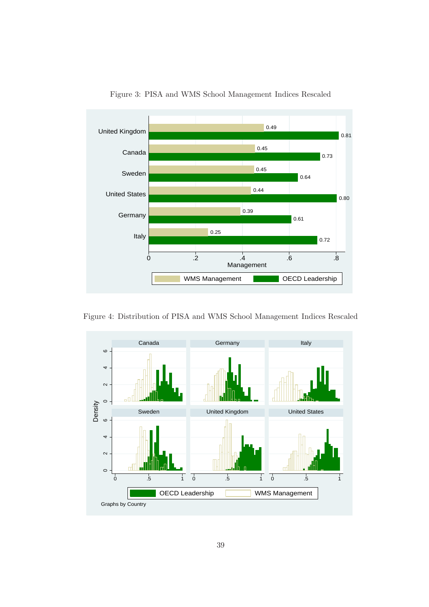

Figure 3: PISA and WMS School Management Indices Rescaled

Figure 4: Distribution of PISA and WMS School Management Indices Rescaled

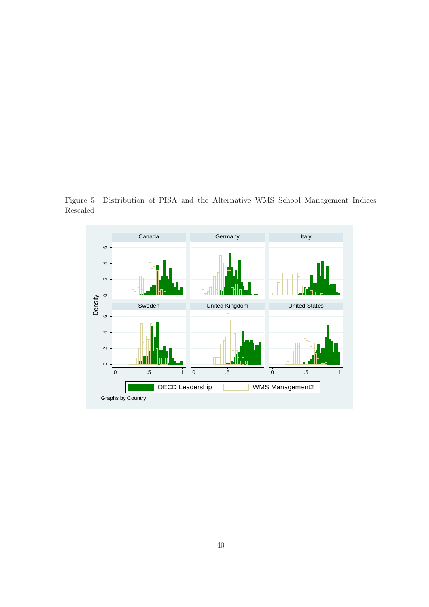Figure 5: Distribution of PISA and the Alternative WMS School Management Indices Rescaled

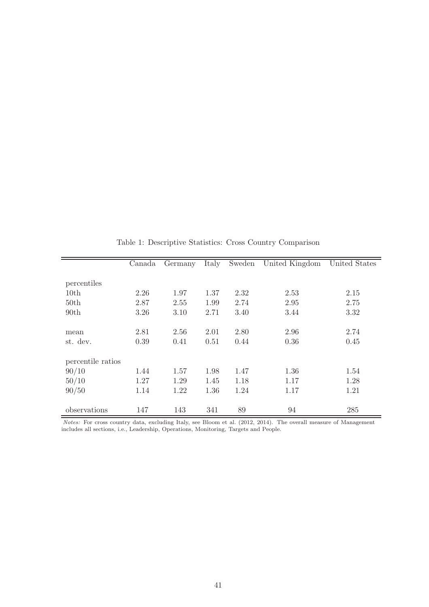|                   | Canada | Germany | Italy | Sweden | United Kingdom | United States |
|-------------------|--------|---------|-------|--------|----------------|---------------|
|                   |        |         |       |        |                |               |
| percentiles       |        |         |       |        |                |               |
| 10th              | 2.26   | 1.97    | 1.37  | 2.32   | 2.53           | 2.15          |
| 50th              | 2.87   | 2.55    | 1.99  | 2.74   | 2.95           | 2.75          |
| 90 <sub>th</sub>  | 3.26   | 3.10    | 2.71  | 3.40   | 3.44           | 3.32          |
|                   |        |         |       |        |                |               |
| mean              | 2.81   | 2.56    | 2.01  | 2.80   | 2.96           | 2.74          |
| st. dev.          | 0.39   | 0.41    | 0.51  | 0.44   | 0.36           | 0.45          |
|                   |        |         |       |        |                |               |
| percentile ratios |        |         |       |        |                |               |
| 90/10             | 1.44   | 1.57    | 1.98  | 1.47   | 1.36           | 1.54          |
| 50/10             | 1.27   | 1.29    | 1.45  | 1.18   | 1.17           | 1.28          |
| 90/50             | 1.14   | 1.22    | 1.36  | 1.24   | 1.17           | 1.21          |
|                   |        |         |       |        |                |               |
| observations      | 147    | 143     | 341   | 89     | 94             | 285           |
|                   |        |         |       |        |                |               |

Table 1: Descriptive Statistics: Cross Country Comparison

Notes: For cross country data, excluding Italy, see Bloom et al. (2012, 2014). The overall measure of Management includes all sections, i.e., Leadership, Operations, Monitoring, Targets and People.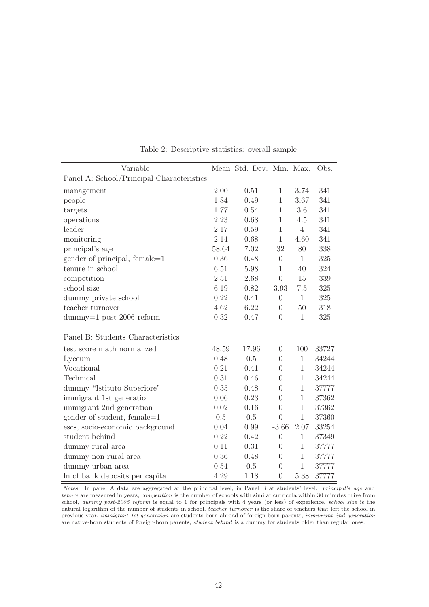| Variable                                  |       | Mean Std. Dev. Min. |                | Max.           | Obs.  |
|-------------------------------------------|-------|---------------------|----------------|----------------|-------|
| Panel A: School/Principal Characteristics |       |                     |                |                |       |
| management                                | 2.00  | 0.51                | $\mathbf{1}$   | 3.74           | 341   |
| people                                    | 1.84  | 0.49                | $\mathbf{1}$   | 3.67           | 341   |
| targets                                   | 1.77  | 0.54                | $\mathbf{1}$   | 3.6            | 341   |
| operations                                | 2.23  | 0.68                | $\mathbf{1}$   | 4.5            | 341   |
| leader                                    | 2.17  | 0.59                | $\mathbf{1}$   | $\overline{4}$ | 341   |
| monitoring                                | 2.14  | 0.68                | $\mathbf{1}$   | 4.60           | 341   |
| principal's age                           | 58.64 | 7.02                | 32             | 80             | 338   |
| gender of principal, female=1             | 0.36  | 0.48                | $\overline{0}$ | $\mathbf{1}$   | 325   |
| tenure in school                          | 6.51  | 5.98                | $\mathbf{1}$   | 40             | 324   |
| competition                               | 2.51  | 2.68                | $\theta$       | 15             | 339   |
| school size                               | 6.19  | 0.82                | 3.93           | 7.5            | 325   |
| dummy private school                      | 0.22  | 0.41                | $\theta$       | $\mathbf{1}$   | 325   |
| teacher turnover                          | 4.62  | 6.22                | $\overline{0}$ | 50             | 318   |
| $d$ ummy=1 post-2006 reform               | 0.32  | 0.47                | $\overline{0}$ | $\mathbf{1}$   | 325   |
| Panel B: Students Characteristics         |       |                     |                |                |       |
| test score math normalized                | 48.59 | 17.96               | $\theta$       | 100            | 33727 |
| Lyceum                                    | 0.48  | 0.5                 | $\Omega$       | $\mathbf{1}$   | 34244 |
| Vocational                                | 0.21  | 0.41                | $\theta$       | $\mathbf{1}$   | 34244 |
| Technical                                 | 0.31  | 0.46                | $\Omega$       | $\mathbf{1}$   | 34244 |
| dummy "Istituto Superiore"                | 0.35  | 0.48                | $\Omega$       | $\mathbf{1}$   | 37777 |
| immigrant 1st generation                  | 0.06  | 0.23                | $\theta$       | $\mathbf{1}$   | 37362 |
| immigrant 2nd generation                  | 0.02  | 0.16                | $\overline{0}$ | $\mathbf{1}$   | 37362 |
| gender of student, female=1               | 0.5   | 0.5                 | $\theta$       | $\mathbf{1}$   | 37360 |
| escs, socio-economic background           | 0.04  | 0.99                | $-3.66$        | 2.07           | 33254 |
| student behind                            | 0.22  | 0.42                | $\overline{0}$ | $\mathbf{1}$   | 37349 |
| dummy rural area                          | 0.11  | 0.31                | $\theta$       | $\mathbf{1}$   | 37777 |
| dummy non rural area                      | 0.36  | 0.48                | $\theta$       | 1              | 37777 |
| dummy urban area                          | 0.54  | 0.5                 | $\overline{0}$ | $\mathbf{1}$   | 37777 |
| In of bank deposits per capital           | 4.29  | 1.18                | $\overline{0}$ | 5.38           | 37777 |

Table 2: Descriptive statistics: overall sample

Notes: In panel A data are aggregated at the principal level, in Panel B at students' level. principal's age and tenure are measured in years, competition is the number of schools with similar curricula within 30 minutes drive from school, dummy post-2006 reform is equal to 1 for principals with 4 years (or less) of experience, school size is the natural logarithm of the number of students in school, teacher turnover is the share of teachers that left the school in previous year, immigrant 1st generation are students born abroad of foreign-born parents, immigrant 2nd generation are native-born students of foreign-born parents, student behind is a dummy for students older than regular ones.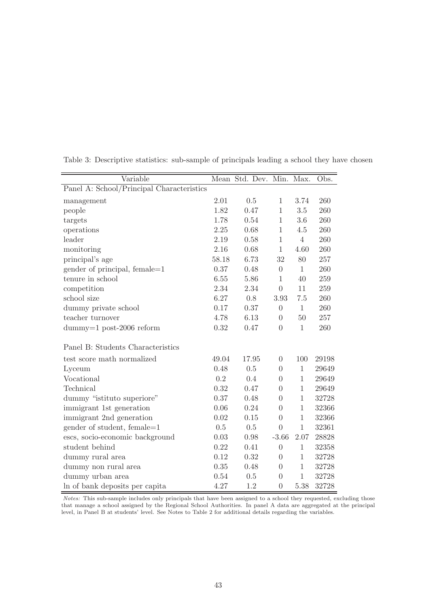| Variable                                            |       | Mean Std. Dev. Min. Max. |                |                | Obs.  |
|-----------------------------------------------------|-------|--------------------------|----------------|----------------|-------|
| Panel A: School/Principal Characteristics           |       |                          |                |                |       |
| management                                          | 2.01  | 0.5                      | $\mathbf{1}$   | 3.74           | 260   |
| people                                              | 1.82  | 0.47                     | $\mathbf{1}$   | 3.5            | 260   |
| targets                                             | 1.78  | 0.54                     | $\mathbf{1}$   | $3.6\,$        | 260   |
| operations                                          | 2.25  | 0.68                     | 1              | 4.5            | 260   |
| leader                                              | 2.19  | 0.58                     | $\mathbf{1}$   | $\overline{4}$ | 260   |
| monitoring                                          | 2.16  | 0.68                     | $\mathbf{1}$   | 4.60           | 260   |
| principal's age                                     | 58.18 | 6.73                     | 32             | 80             | 257   |
| gender of principal, female=1                       | 0.37  | 0.48                     | $\overline{0}$ | $\mathbf{1}$   | 260   |
| tenure in school                                    | 6.55  | 5.86                     | $\mathbf{1}$   | 40             | 259   |
| competition                                         | 2.34  | 2.34                     | $\overline{0}$ | 11             | 259   |
| school size                                         | 6.27  | 0.8                      | 3.93           | 7.5            | 260   |
| dummy private school                                | 0.17  | 0.37                     | $\overline{0}$ | $\mathbf{1}$   | 260   |
| teacher turnover                                    | 4.78  | 6.13                     | $\Omega$       | 50             | 257   |
| $d \text{dummy}=1 \text{ post-}2006 \text{ reform}$ | 0.32  | 0.47                     | $\theta$       | $\mathbf{1}$   | 260   |
| Panel B: Students Characteristics                   |       |                          |                |                |       |
| test score math normalized                          | 49.04 | 17.95                    | $\Omega$       | 100            | 29198 |
| Lyceum                                              | 0.48  | 0.5                      | $\theta$       | $\mathbf 1$    | 29649 |
| Vocational                                          | 0.2   | 0.4                      | $\Omega$       | $\mathbf{1}$   | 29649 |
| Technical                                           | 0.32  | 0.47                     | $\Omega$       | $\mathbf{1}$   | 29649 |
| dummy "istituto superiore"                          | 0.37  | 0.48                     | $\Omega$       | 1              | 32728 |
| immigrant 1st generation                            | 0.06  | 0.24                     | $\Omega$       | $\mathbf{1}$   | 32366 |
| immigrant 2nd generation                            | 0.02  | 0.15                     | $\theta$       | $\mathbf{1}$   | 32366 |
| gender of student, female=1                         | 0.5   | 0.5                      | $\theta$       | $\mathbf{1}$   | 32361 |
| escs, socio-economic background                     | 0.03  | 0.98                     | $-3.66$        | 2.07           | 28828 |
| student behind                                      | 0.22  | 0.41                     | $\theta$       | $\mathbf{1}$   | 32358 |
| dummy rural area                                    | 0.12  | 0.32                     | $\theta$       | $\mathbf{1}$   | 32728 |
| dummy non rural area                                | 0.35  | 0.48                     | $\Omega$       | 1              | 32728 |
| dummy urban area                                    | 0.54  | 0.5                      | $\Omega$       | $\mathbf{1}$   | 32728 |
| In of bank deposits per capital                     | 4.27  | 1.2                      | $\overline{0}$ | 5.38           | 32728 |

Table 3: Descriptive statistics: sub-sample of principals leading a school they have chosen

Notes: This sub-sample includes only principals that have been assigned to a school they requested, excluding those that manage a school assigned by the Regional School Authorities. In panel A data are aggregated at the principal level, in Panel B at students' level. See Notes to Table 2 for additional details regarding the variables.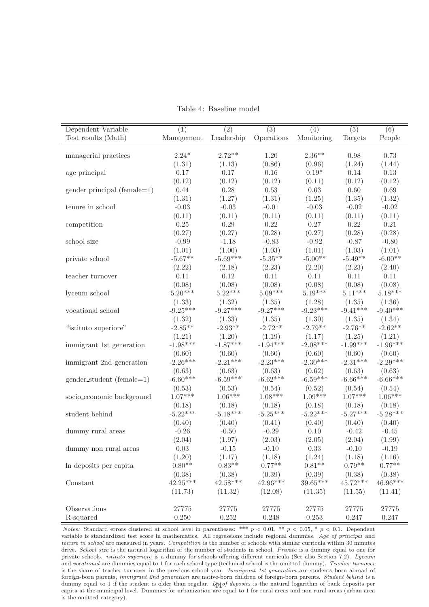| Dependent Variable          | (1)        | $\overline{(2)}$ | $\overline{(3)}$                | (4)        | (5)        | (6)        |
|-----------------------------|------------|------------------|---------------------------------|------------|------------|------------|
| Test results (Math)         | Management | Leadership       | $\label{eq:1} {\rm Operations}$ | Monitoring | Targets    | People     |
|                             | $2.24*$    | $2.72**$         | 1.20                            | $2.36**$   | $0.98\,$   | 0.73       |
| managerial practices        |            |                  |                                 |            |            |            |
|                             | (1.31)     | (1.13)           | (0.86)                          | (0.96)     | (1.24)     | (1.44)     |
| age principal               | 0.17       | 0.17             | 0.16                            | $0.19*$    | 0.14       | 0.13       |
|                             | (0.12)     | (0.12)           | (0.12)                          | (0.11)     | (0.12)     | (0.12)     |
| gender principal (female=1) | 0.44       | 0.28             | 0.53                            | 0.63       | $0.60\,$   | 0.69       |
|                             | (1.31)     | (1.27)           | (1.31)                          | (1.25)     | (1.35)     | (1.32)     |
| tenure in school            | $-0.03$    | $-0.03$          | $-0.01$                         | $-0.03$    | $-0.02$    | $-0.02$    |
|                             | (0.11)     | (0.11)           | (0.11)                          | (0.11)     | (0.11)     | (0.11)     |
| competition                 | 0.25       | 0.29             | 0.22                            | 0.27       | 0.22       | 0.21       |
|                             | (0.27)     | (0.27)           | (0.28)                          | (0.27)     | (0.28)     | (0.28)     |
| school size                 | $-0.99$    | $-1.18$          | $-0.83$                         | $-0.92$    | $-0.87$    | $-0.80$    |
|                             | (1.01)     | (1.00)           | (1.03)                          | (1.01)     | (1.03)     | (1.01)     |
| private school              | $-5.67**$  | $-5.69***$       | $-5.35**$                       | $-5.00**$  | $-5.49**$  | $-6.00**$  |
|                             | (2.22)     | (2.18)           | (2.23)                          | (2.20)     | (2.23)     | (2.40)     |
| teacher turnover            | 0.11       | 0.12             | 0.11                            | 0.11       | 0.11       | 0.11       |
|                             | (0.08)     | (0.08)           | (0.08)                          | (0.08)     | (0.08)     | (0.08)     |
| lyceum school               | $5.20***$  | $5.22***$        | $5.09***$                       | $5.19***$  | $5.11***$  | $5.18***$  |
|                             | (1.33)     | (1.32)           | (1.35)                          | (1.28)     | (1.35)     | (1.36)     |
| vocational school           | $-9.25***$ | $-9.27***$       | $-9.27***$                      | $-9.23***$ | $-9.41***$ | $-9.40***$ |
|                             | (1.32)     | (1.33)           | (1.35)                          | (1.30)     | (1.35)     | (1.34)     |
| "istituto superiore"        | $-2.85**$  | $-2.93**$        | $-2.72**$                       | $-2.79**$  | $-2.76**$  | $-2.62**$  |
|                             | (1.21)     | (1.20)           | (1.19)                          | (1.17)     | (1.25)     | (1.21)     |
| immigrant 1st generation    | $-1.98***$ | $-1.87***$       | $-1.94***$                      | $-2.08***$ | $-1.99***$ | $-1.96***$ |
|                             | (0.60)     | (0.60)           | (0.60)                          | (0.60)     | (0.60)     | (0.60)     |
| immigrant 2nd generation    | $-2.26***$ | $-2.21***$       | $-2.23***$                      | $-2.30***$ | $-2.31***$ | $-2.29***$ |
|                             | (0.63)     | (0.63)           | (0.63)                          | (0.62)     | (0.63)     | (0.63)     |
| gender_student (female=1)   | $-6.60***$ | $-6.59***$       | $-6.62***$                      | $-6.59***$ | $-6.66***$ | $-6.66***$ |
|                             | (0.53)     | (0.53)           | (0.54)                          | (0.52)     | (0.54)     | (0.54)     |
| socio_economic_background   | $1.07***$  | $1.06***$        | $1.08***$                       | $1.09***$  | $1.07***$  | $1.06***$  |
|                             | (0.18)     | (0.18)           | (0.18)                          | (0.18)     | (0.18)     | (0.18)     |
| student behind              | $-5.22***$ | $-5.18***$       | $-5.25***$                      | $-5.22***$ | $-5.27***$ | $-5.28***$ |
|                             | (0.40)     | (0.40)           | (0.41)                          | (0.40)     | (0.40)     | (0.40)     |
| dummy rural areas           | $-0.26$    | $-0.50$          | $-0.29$                         | 0.10       | $-0.42$    | $-0.45$    |
|                             | (2.04)     | (1.97)           | (2.03)                          | (2.05)     | (2.04)     | (1.99)     |
| dummy non rural areas       | 0.03       | $-0.15$          | $-0.10$                         | 0.33       | $-0.10$    | $-0.19$    |
|                             | (1.20)     | (1.17)           | (1.18)                          | (1.24)     | (1.18)     | (1.16)     |
| In deposits per capita      | $0.80**$   | $0.83**$         | $0.77**$                        | $0.81**$   | $0.79**$   | $0.77**$   |
|                             | (0.38)     | (0.38)           | (0.39)                          | (0.39)     | (0.38)     | (0.38)     |
| Constant                    | $42.25***$ | $42.58***$       | $42.96***$                      | 39.65***   | $45.72***$ | $46.96***$ |
|                             | (11.73)    | (11.32)          | (12.08)                         | (11.35)    | (11.55)    | (11.41)    |
|                             |            |                  |                                 |            |            |            |
| Observations                | 27775      | 27775            | 27775                           | 27775      | 27775      | 27775      |
| R-squared                   | 0.250      | $0.252\,$        | 0.248                           | $0.253\,$  | 0.247      | 0.247      |

Table 4: Baseline model

Notes: Standard errors clustered at school level in parentheses: \*\*\*  $p < 0.01$ , \*\*  $p < 0.05$ , \*  $p < 0.1$ . Dependent variable is standardized test score in mathematics. All regressions include regional dummies. Age of principal and tenure in school are measured in years. Competition is the number of schools with similar curricula within 30 minutes drive. School size is the natural logarithm of the number of students in school. Private is a dummy equal to one for private schools. *istituto superiore* is a dummy for schools offering different curricula (See also Section 7.2). Lyceum and vocational are dummies equal to 1 for each school type (technical school is the omitted dummy). Teacher turnover is the share of teacher turnover in the previous school year. Immigrant 1st generation are students born abroad of foreign-born parents, immigrant 2nd generation are native-born children of foreign-born parents. Student behind is a dummy equal to 1 if the student is older than regular. Leaof deposits is the natural logarithm of bank deposits per capita at the municipal level. Dummies for urbanization are equal to 1 for rural areas and non rural areas (urban area is the omitted category).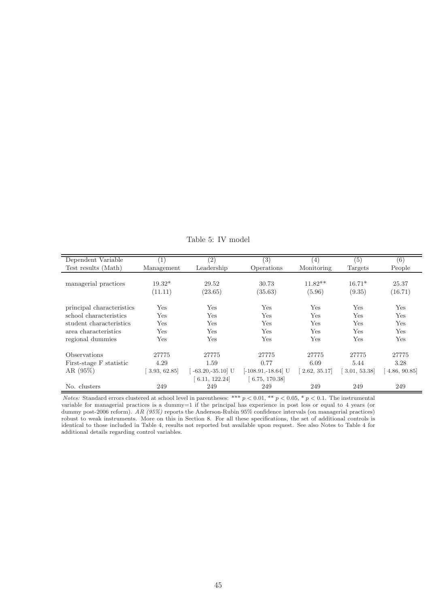| Dependent Variable        |             | $\left( 2\right)$  | (3)                   | (4)         | (5)         | (6)           |
|---------------------------|-------------|--------------------|-----------------------|-------------|-------------|---------------|
| Test results (Math)       | Management  | Leadership         | Operations            | Monitoring  | Targets     | People        |
|                           |             |                    |                       |             |             |               |
| managerial practices      | $19.32*$    | 29.52              | 30.73                 | $11.82**$   | $16.71*$    | 25.37         |
|                           | (11.11)     | (23.65)            | (35.63)               | (5.96)      | (9.35)      | (16.71)       |
|                           |             |                    |                       |             |             |               |
| principal characteristics | Yes         | Yes                | Yes                   | Yes         | Yes         | Yes           |
| school characteristics    | Yes         | Yes                | Yes                   | Yes         | Yes         | Yes           |
| student characteristics   | Yes         | Yes                | Yes                   | Yes         | Yes         | Yes           |
| area characteristics      | Yes         | Yes                | Yes                   | Yes         | Yes         | Yes           |
| regional dummies          | Yes         | Yes                | Yes                   | Yes         | Yes         | Yes           |
|                           |             |                    |                       |             |             |               |
| <b>Observations</b>       | 27775       | 27775              | 27775                 | 27775       | 27775       | 27775         |
| First-stage F statistic   | 4.29        | 1.59               | 0.77                  | 6.09        | 5.44        | 3.28          |
| AR(95%)                   | 3.93, 62.85 | $-63.20, -35.10$ U | $[-108.91, -18.64]$ U | 2.62, 35.17 | 3.01, 53.38 | [4.86, 90.85] |
|                           |             | 6.11, 122.24       | 6.75, 170.38          |             |             |               |
| No. clusters              | 249         | 249                | 249                   | 249         | 249         | 249           |

Table 5: IV model

Notes: Standard errors clustered at school level in parentheses: \*\*\*  $p < 0.01$ , \*\*  $p < 0.05$ , \*  $p < 0.1$ . The instrumental variable for managerial practices is a dummy=1 if the principal has experience in post less or equal to 4 years (or dummy post-2006 reform). AR (95%) reports the Anderson-Rubin 95% confidence intervals (on managerial practices) robust to weak instruments. More on this in Section 8. For all these specifications, the set of additional controls is identical to those included in Table 4, results not reported but available upon request. See also Notes to Table 4 for additional details regarding control variables.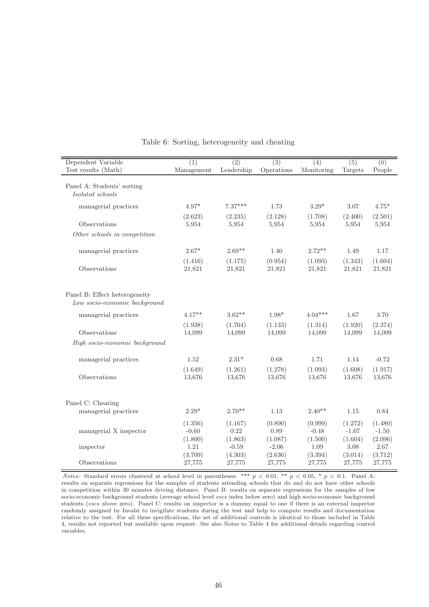| Dependent Variable                                             | (1)                        | (2)                           | $\overline{(3)}$              | $\overline{(4)}$           | (5)                        | (6)                        |
|----------------------------------------------------------------|----------------------------|-------------------------------|-------------------------------|----------------------------|----------------------------|----------------------------|
| Test results (Math)                                            | Management                 | Leadership                    | Operations                    | Monitoring                 | Targets                    | People                     |
| Panel A: Students' sorting<br>Isolated schools                 |                            |                               |                               |                            |                            |                            |
| managerial practices                                           | $4.97*$                    | $7.37***$                     | 1.73                          | $3.29*$                    | 3.07                       | $4.75*$                    |
|                                                                | (2.623)                    | (2.235)                       | (2.128)                       | (1.708)                    | (2.400)                    | (2.501)                    |
| Observations                                                   | 5,954                      | 5,954                         | 5,954                         | 5,954                      | 5,954                      | 5,954                      |
| Other schools in competition                                   |                            |                               |                               |                            |                            |                            |
| managerial practices                                           | $2.67*$                    | $2.69**$                      | 1.40                          | $2.72**$                   | 1.49                       | 1.17                       |
| Observations                                                   | (1.416)<br>21,821          | (1.175)<br>21,821             | (0.954)<br>21,821             | (1.093)<br>21,821          | (1.343)<br>21,821          | (1.604)<br>21,821          |
| Panel B: Effect heterogeneity<br>Low socio-economic background |                            |                               |                               |                            |                            |                            |
| managerial practices                                           | $4.17**$                   | $3.62**$                      | $1.98*$                       | $4.04***$                  | 1.67                       | 3.70                       |
| Observations                                                   | (1.938)<br>14,099          | (1.704)<br>14,099             | (1.133)<br>14,099             | (1.314)<br>14,099          | (1.920)<br>14,099          | (2.374)<br>14,099          |
| High socio-economic background                                 |                            |                               |                               |                            |                            |                            |
| managerial practices                                           | 1.52                       | $2.31*$                       | 0.68                          | 1.71                       | 1.14                       | $-0.72$                    |
| Observations                                                   | (1.649)<br>13,676          | (1.261)<br>13,676             | (1.278)<br>13,676             | (1.093)<br>13,676          | (1.608)<br>13,676          | (1.917)<br>13,676          |
| Panel C: Cheating<br>managerial practices                      | $2.29*$                    | $2.70**$                      | 1.13                          | $2.40**$                   | 1.15                       | 0.84                       |
| managerial X inspector                                         | (1.356)<br>$-0.60$         | (1.167)<br>0.22               | (0.890)<br>0.89               | (0.999)<br>$-0.48$         | (1.272)<br>$-1.67$         | (1.480)<br>$-1.50$         |
| inspector                                                      | (1.800)<br>1.21<br>(3.709) | (1.863)<br>$-0.59$<br>(4.303) | (1.087)<br>$-2.06$<br>(2.636) | (1.500)<br>1.09<br>(3.394) | (1.604)<br>3.08<br>(3.014) | (2.096)<br>2.67<br>(3.712) |
| Observations                                                   | 27,775                     | 27,775                        | 27,775                        | 27,775                     | 27,775                     | 27,775                     |

#### Table 6: Sorting, heterogeneity and cheating

Notes: Standard errors clustered at school level in parentheses: \*\*\*  $p < 0.01$ , \*\*  $p < 0.05$ , \*  $p < 0.1$ . Panel A: results on separate regressions for the samples of students attending schools that do and do not have other schools in competition within 30 minutes driving distance. Panel B: results on separate regressions for the samples of low socio-economic background students (average school level escs index below zero) and high socio-economic background students (escs above zero). Panel C: results on inspector is a dummy equal to one if there is an external inspector randomly assigned by Invalsi to invigilate students during the test and help to compute results and documentation relative to the test. For all these specifications, the set of additional controls is identical to those included in Table 4, results not reported but available upon request. See also Notes to Table 4 for additional details regarding control variables.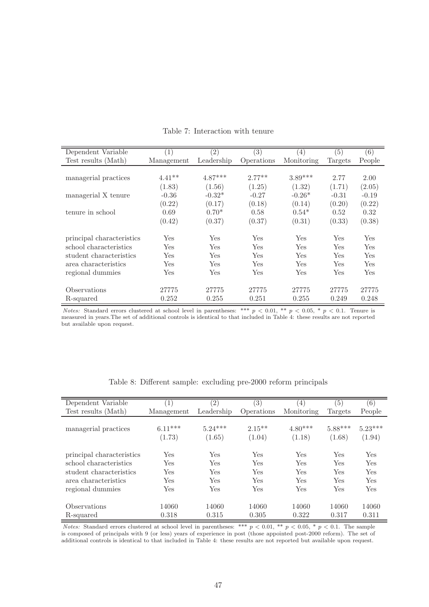| Dependent Variable        | (1)        | (2)        | (3)        | (4)        | (5)     | (6)     |
|---------------------------|------------|------------|------------|------------|---------|---------|
| Test results (Math)       | Management | Leadership | Operations | Monitoring | Targets | People  |
|                           |            |            |            |            |         |         |
| managerial practices      | $4.41**$   | $4.87***$  | $2.77**$   | $3.89***$  | 2.77    | 2.00    |
|                           | (1.83)     | (1.56)     | (1.25)     | (1.32)     | (1.71)  | (2.05)  |
| managerial X tenure       | $-0.36$    | $-0.32*$   | $-0.27$    | $-0.26*$   | $-0.31$ | $-0.19$ |
|                           | (0.22)     | (0.17)     | (0.18)     | (0.14)     | (0.20)  | (0.22)  |
| tenure in school          | 0.69       | $0.70*$    | 0.58       | $0.54*$    | 0.52    | 0.32    |
|                           | (0.42)     | (0.37)     | (0.37)     | (0.31)     | (0.33)  | (0.38)  |
| principal characteristics | Yes        | Yes        | Yes        | Yes        | Yes     | Yes     |
| school characteristics    | Yes        | Yes        | Yes        | Yes        | Yes     | Yes     |
| student characteristics   | Yes        | Yes        | Yes        | <b>Yes</b> | Yes     | Yes     |
| area characteristics      | Yes        | Yes        | Yes        | Yes        | Yes     | Yes     |
| regional dummies          | Yes        | Yes        | Yes        | Yes        | Yes     | Yes     |
| Observations              | 27775      | 27775      | 27775      | 27775      | 27775   | 27775   |
| R-squared                 | 0.252      | 0.255      | 0.251      | 0.255      | 0.249   | 0.248   |

Table 7: Interaction with tenure

Notes: Standard errors clustered at school level in parentheses: \*\*\*  $p < 0.01$ , \*\*  $p < 0.05$ , \*  $p < 0.1$ . Tenure is measured in years.The set of additional controls is identical to that included in Table 4: these results are not reported but available upon request.

| Dependent Variable        | $\left(1\right)$ | (2)        | (3)        | (4)        | (5)       | (6)       |
|---------------------------|------------------|------------|------------|------------|-----------|-----------|
| Test results (Math)       | Management       | Leadership | Operations | Monitoring | Targets   | People    |
| managerial practices      | $6.11***$        | $5.24***$  | $2.15**$   | $4.80***$  | $5.88***$ | $5.23***$ |
|                           | (1.73)           | (1.65)     | (1.04)     | (1.18)     | (1.68)    | (1.94)    |
| principal characteristics | Yes              | Yes        | Yes        | Yes        | Yes       | Yes       |
| school characteristics    | Yes              | Yes        | Yes        | Yes        | Yes       | Yes       |
| student characteristics   | Yes              | Yes        | Yes        | Yes        | Yes       | Yes       |
| area characteristics      | Yes              | Yes        | Yes        | Yes        | Yes       | Yes       |
| regional dummies          | Yes              | Yes        | Yes        | Yes        | Yes       | Yes       |
| Observations              | 14060            | 14060      | 14060      | 14060      | 14060     | 14060     |
| R-squared                 | 0.318            | 0.315      | 0.305      | 0.322      | 0.317     | 0.311     |

Table 8: Different sample: excluding pre-2000 reform principals

Notes: Standard errors clustered at school level in parentheses: \*\*\*  $p < 0.01$ , \*\*  $p < 0.05$ , \*  $p < 0.1$ . The sample is composed of principals with 9 (or less) years of experience in post (those appointed post-2000 reform). The set of additional controls is identical to that included in Table 4: these results are not reported but available upon request.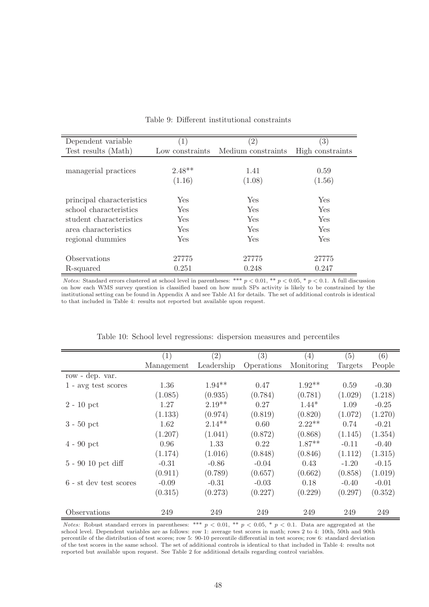| Dependent variable        | $\left(1\right)$ | $\left( 2\right)$  | $\left( 3\right)$ |
|---------------------------|------------------|--------------------|-------------------|
| Test results (Math)       | Low constraints  | Medium constraints | High constraints  |
|                           |                  |                    |                   |
| managerial practices      | $2.48**$         | 1.41               | 0.59              |
|                           | (1.16)           | (1.08)             | (1.56)            |
|                           |                  |                    |                   |
| principal characteristics | <b>Yes</b>       | <b>Yes</b>         | Yes               |
| school characteristics    | Yes.             | <b>Yes</b>         | Yes               |
| student characteristics   | <b>Yes</b>       | <b>Yes</b>         | Yes               |
| area characteristics      | <b>Yes</b>       | <b>Yes</b>         | Yes               |
| regional dummies          | Yes.             | <b>Yes</b>         | Yes               |
|                           |                  |                    |                   |
| Observations              | 27775            | 27775              | 27775             |
| R-squared                 | 0.251            | 0.248              | 0.247             |

Table 9: Different institutional constraints

Notes: Standard errors clustered at school level in parentheses: \*\*\*  $p < 0.01$ , \*\*  $p < 0.05$ , \*  $p < 0.1$ . A full discussion on how each WMS survey question is classified based on how much SPs activity is likely to be constrained by the institutional setting can be found in Appendix A and see Table A1 for details. The set of additional controls is identical to that included in Table 4: results not reported but available upon request.

|                        | (1)        | $\left( 2\right)$ | (3)        | (4)        | (5)     | (6)     |
|------------------------|------------|-------------------|------------|------------|---------|---------|
|                        | Management | Leadership        | Operations | Monitoring | Targets | People  |
| row - dep. var.        |            |                   |            |            |         |         |
| $1$ - avg test scores  | 1.36       | $1.94**$          | 0.47       | $1.92**$   | 0.59    | $-0.30$ |
|                        | (1.085)    | (0.935)           | (0.784)    | (0.781)    | (1.029) | (1.218) |
| $2 - 10$ pct           | 1.27       | $2.19**$          | 0.27       | $1.44*$    | 1.09    | $-0.25$ |
|                        | (1.133)    | (0.974)           | (0.819)    | (0.820)    | (1.072) | (1.270) |
| $3 - 50$ pct           | 1.62       | $2.14**$          | 0.60       | $2.22**$   | 0.74    | $-0.21$ |
|                        | (1.207)    | (1.041)           | (0.872)    | (0.868)    | (1.145) | (1.354) |
| $4 - 90$ pct           | 0.96       | 1.33              | 0.22       | $1.87**$   | $-0.11$ | $-0.40$ |
|                        | (1.174)    | (1.016)           | (0.848)    | (0.846)    | (1.112) | (1.315) |
| $5 - 90 10$ pct diff   | $-0.31$    | $-0.86$           | $-0.04$    | 0.43       | $-1.20$ | $-0.15$ |
|                        | (0.911)    | (0.789)           | (0.657)    | (0.662)    | (0.858) | (1.019) |
| 6 - st dev test scores | $-0.09$    | $-0.31$           | $-0.03$    | 0.18       | $-0.40$ | $-0.01$ |
|                        | (0.315)    | (0.273)           | (0.227)    | (0.229)    | (0.297) | (0.352) |
| Observations           | 249        | 249               | 249        | 249        | 249     | 249     |

Table 10: School level regressions: dispersion measures and percentiles

Notes: Robust standard errors in parentheses: \*\*\*  $p < 0.01$ , \*\*  $p < 0.05$ , \*  $p < 0.1$ . Data are aggregated at the school level. Dependent variables are as follows: row 1: average test scores in math; rows 2 to 4: 10th, 50th and 90th percentile of the distribution of test scores; row 5: 90-10 percentile differential in test scores; row 6: standard deviation of the test scores in the same school. The set of additional controls is identical to that included in Table 4: results not reported but available upon request. See Table 2 for additional details regarding control variables.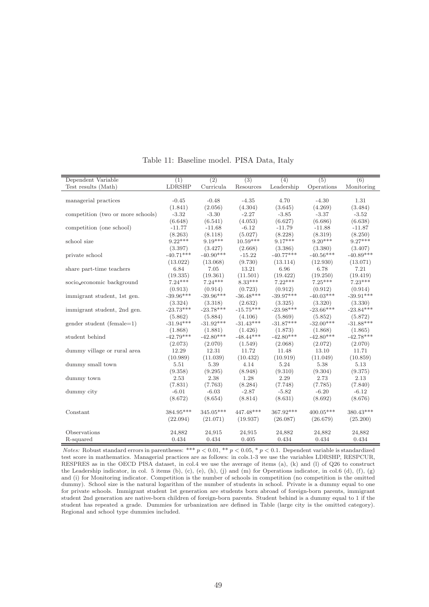| Dependent Variable                | (1)         | (2)         | $\overline{(3)}$ | (4)                | (5)         | (6)         |
|-----------------------------------|-------------|-------------|------------------|--------------------|-------------|-------------|
| Test results (Math)               | LDRSHP      | Curricula   | Resources        | ${\rm Leadership}$ | Operations  | Monitoring  |
|                                   |             |             |                  |                    |             |             |
| managerial practices              | $-0.45$     | $-0.48$     | $-4.35$          | 4.70               | $-4.30$     | 1.31        |
|                                   | (1.841)     | (2.056)     | (4.304)          | (3.645)            | (4.269)     | (3.484)     |
| competition (two or more schools) | $-3.32$     | $-3.30$     | $-2.27$          | $-3.85$            | $-3.37$     | $-3.52$     |
|                                   | (6.648)     | (6.541)     | (4.053)          | (6.627)            | (6.686)     | (6.638)     |
| competition (one school)          | $-11.77$    | $-11.68$    | $-6.12$          | $-11.79$           | $-11.88$    | $-11.87$    |
|                                   | (8.263)     | (8.118)     | (5.027)          | (8.228)            | (8.319)     | (8.250)     |
| school size                       | $9.22***$   | $9.19***$   | $10.59***$       | $9.17***$          | $9.20***$   | $9.27***$   |
|                                   | (3.397)     | (3.427)     | (2.668)          | (3.386)            | (3.380)     | (3.407)     |
| private school                    | $-40.71***$ | $-40.90***$ | $-15.22$         | $-40.77***$        | $-40.56***$ | $-40.89***$ |
|                                   | (13.022)    | (13.068)    | (9.730)          | (13.114)           | (12.930)    | (13.071)    |
| share part-time teachers          | 6.84        | 7.05        | 13.21            | 6.96               | 6.78        | 7.21        |
|                                   | (19.335)    | (19.361)    | (11.501)         | (19.422)           | (19.250)    | (19.419)    |
| socio_economic_background         | $7.24***$   | $7.24***$   | $8.33***$        | $7.22***$          | $7.25***$   | $7.23***$   |
|                                   | (0.913)     | (0.914)     | (0.723)          | (0.912)            | (0.912)     | (0.914)     |
| immigrant student, 1st gen.       | $-39.96***$ | $-39.96***$ | $-36.48***$      | $-39.97***$        | $-40.03***$ | $-39.91***$ |
|                                   | (3.324)     | (3.318)     | (2.632)          | (3.325)            | (3.320)     | (3.330)     |
| immigrant student, 2nd gen.       | $-23.73***$ | $-23.78***$ | $-15.75***$      | $-23.98***$        | $-23.66***$ | $-23.84***$ |
|                                   | (5.862)     | (5.884)     | (4.106)          | (5.869)            | (5.852)     | (5.872)     |
| gender student (female= $1$ )     | $-31.94***$ | $-31.92***$ | $-31.43***$      | $-31.87***$        | $-32.00***$ | $-31.88***$ |
|                                   | (1.868)     | (1.881)     | (1.426)          | (1.873)            | (1.868)     | (1.865)     |
| student behind                    | $-42.79***$ | $-42.80***$ | $-48.44***$      | $-42.80***$        | $-42.80***$ | $-42.78***$ |
|                                   | (2.073)     | (2.070)     | (1.549)          | (2.068)            | (2.072)     | (2.070)     |
| dummy village or rural area       | 12.29       | 12.31       | 11.72            | 11.48              | 13.10       | 11.71       |
|                                   | (10.989)    | (11.039)    | (10.432)         | (10.919)           | (11.049)    | (10.859)    |
| dummy small town                  | 5.51        | 5.39        | 4.14             | 5.24               | 5.38        | 5.13        |
|                                   | (9.358)     | (9.295)     | (8.948)          | (9.310)            | (9.304)     | (9.375)     |
| dummy town                        | 2.53        | 2.38        | 1.28             | 2.29               | 2.73        | 2.13        |
|                                   | (7.831)     | (7.763)     | (8.284)          | (7.748)            | (7.785)     | (7.840)     |
| dummy city                        | $-6.01$     | $-6.03$     | $-2.87$          | $-5.82$            | $-6.20$     | $-6.12$     |
|                                   | (8.672)     | (8.654)     | (8.814)          | (8.631)            | (8.692)     | (8.676)     |
|                                   |             |             |                  |                    |             |             |
| Constant                          | 384.95***   | $345.05***$ | 447.48***        | 367.92***          | $400.05***$ | 380.43***   |
|                                   | (22.094)    | (21.071)    | (19.937)         | (26.087)           | (26.679)    | (25.200)    |
|                                   |             |             |                  |                    |             |             |
| Observations                      | 24,882      | 24,915      | 24,915           | 24,882             | 24,882      | 24,882      |
| R-squared                         | 0.434       | 0.434       | 0.405            | 0.434              | 0.434       | 0.434       |

Table 11: Baseline model. PISA Data, Italy

Notes: Robust standard errors in parentheses: \*\*\*  $p < 0.01$ , \*\*  $p < 0.05$ , \*  $p < 0.1$ . Dependent variable is standardized test score in mathematics. Managerial practices are as follows: in cols.1-3 we use the variables LDRSHP, RESPCUR, RESPRES as in the OECD PISA dataset, in col.4 we use the average of items (a), (k) and (l) of Q26 to construct the Leadership indicator, in col. 5 items (b), (c), (e), (h), (j) and (m) for Operations indicator, in col.6 (d), (f), (g) and (i) for Monitoring indicator. Competition is the number of schools in competition (no competition is the omitted dummy). School size is the natural logarithm of the number of students in school. Private is a dummy equal to one for private schools. Immigrant student 1st generation are students born abroad of foreign-born parents, immigrant student 2nd generation are native-born children of foreign-born parents. Student behind is a dummy equal to 1 if the student has repeated a grade. Dummies for urbanization are defined in Table (large city is the omitted category). Regional and school type dummies included.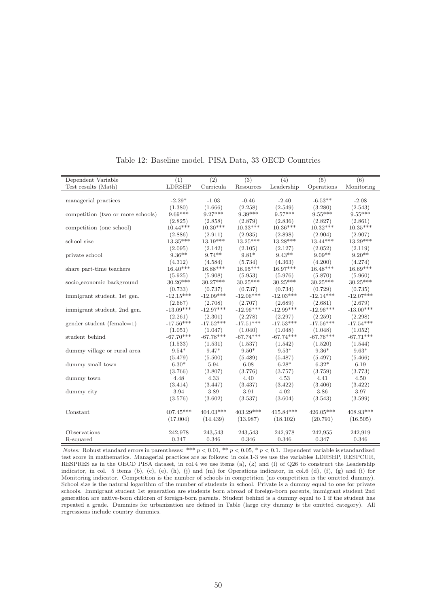| Dependent Variable                | (1)         | $\overline{(2)}$ | (3)         | (4)         | (5)         | (6)         |
|-----------------------------------|-------------|------------------|-------------|-------------|-------------|-------------|
| Test results (Math)               | LDRSHP      | Curricula        | Resources   | Leadership  | Operations  | Monitoring  |
|                                   |             |                  |             |             |             |             |
| managerial practices              | $-2.29*$    | $-1.03$          | $-0.46$     | $-2.40$     | $-6.53**$   | $-2.08$     |
|                                   | (1.380)     | (1.666)          | (2.258)     | (2.549)     | (3.280)     | (2.543)     |
| competition (two or more schools) | $9.69***$   | $9.27***$        | $9.39***$   | $9.57***$   | $9.55***$   | $9.55***$   |
|                                   | (2.825)     | (2.858)          | (2.879)     | (2.836)     | (2.827)     | (2.861)     |
| competition (one school)          | $10.44***$  | $10.30***$       | $10.33***$  | $10.36***$  | $10.32***$  | $10.35***$  |
|                                   | (2.886)     | (2.911)          | (2.935)     | (2.898)     | (2.904)     | (2.907)     |
| school size                       | $13.35***$  | $13.19***$       | $13.25***$  | $13.28***$  | $13.44***$  | $13.29***$  |
|                                   | (2.095)     | (2.142)          | (2.105)     | (2.127)     | (2.052)     | (2.119)     |
| private school                    | $9.36***$   | $9.74**$         | $9.81*$     | $9.43**$    | $9.09**$    | $9.20**$    |
|                                   | (4.312)     | (4.584)          | (5.734)     | (4.363)     | (4.200)     | (4.274)     |
| share part-time teachers          | $16.40***$  | $16.88***$       | $16.95***$  | $16.97***$  | $16.48***$  | $16.69***$  |
|                                   | (5.925)     | (5.908)          | (5.953)     | (5.976)     | (5.870)     | (5.960)     |
| socio_economic_background         | $30.26***$  | $30.27***$       | $30.25***$  | $30.25***$  | $30.25***$  | $30.25***$  |
|                                   | (0.733)     | (0.737)          | (0.737)     | (0.734)     | (0.729)     | (0.735)     |
| immigrant student, 1st gen.       | $-12.15***$ | $-12.09***$      | $-12.06***$ | $-12.03***$ | $-12.14***$ | $-12.07***$ |
|                                   | (2.667)     | (2.708)          | (2.707)     | (2.689)     | (2.681)     | (2.679)     |
| immigrant student, 2nd gen.       | $-13.09***$ | $-12.97***$      | $-12.96***$ | $-12.99***$ | $-12.96***$ | $-13.00***$ |
|                                   | (2.261)     | (2.301)          | (2.278)     | (2.297)     | (2.259)     | (2.298)     |
| gender student (female=1)         | $-17.56***$ | $-17.52***$      | $-17.51***$ | $-17.53***$ | $-17.56***$ | $-17.54***$ |
|                                   | (1.051)     | (1.047)          | (1.040)     | (1.048)     | (1.048)     | (1.052)     |
| student behind                    | $-67.70***$ | $-67.78***$      | $-67.74***$ | $-67.74***$ | $-67.76***$ | $-67.71***$ |
|                                   | (1.533)     | (1.531)          | (1.537)     | (1.542)     | (1.520)     | (1.544)     |
| dummy village or rural area       | $9.54*$     | $9.47*$          | $9.50*$     | $9.53*$     | $9.36*$     | $9.63*$     |
|                                   | (5.479)     | (5.500)          | (5.489)     | (5.487)     | (5.497)     | (5.466)     |
| dummy small town                  | $6.30*$     | 5.94             | 6.08        | $6.28*$     | $6.32*$     | 6.19        |
|                                   | (3.766)     | (3.807)          | (3.776)     | (3.757)     | (3.759)     | (3.773)     |
| dummy town                        | 4.48        | 4.33             | 4.40        | 4.53        | 4.41        | 4.50        |
|                                   | (3.414)     | (3.447)          | (3.437)     | (3.422)     | (3.406)     | (3.422)     |
| dummy city                        | 3.94        | 3.89             | 3.91        | 4.02        | 3.86        | 3.97        |
|                                   | (3.576)     | (3.602)          | (3.537)     | (3.604)     | (3.543)     | (3.599)     |
|                                   |             |                  |             |             |             |             |
| Constant                          | $407.45***$ | $404.03***$      | $403.29***$ | $415.84***$ | 426.05***   | $408.93***$ |
|                                   | (17.004)    | (14.439)         | (13.987)    | (18.102)    | (20.791)    | (16.505)    |
|                                   |             |                  |             |             |             |             |
| Observations                      | 242,978     | 243,543          | 243,543     | 242,978     | 242,955     | 242,919     |
| R-squared                         | 0.347       | 0.346            | 0.346       | 0.346       | 0.347       | 0.346       |

Table 12: Baseline model. PISA Data, 33 OECD Countries

Notes: Robust standard errors in parentheses: \*\*\*  $p < 0.01$ , \*\*  $p < 0.05$ , \*  $p < 0.1$ . Dependent variable is standardized test score in mathematics. Managerial practices are as follows: in cols.1-3 we use the variables LDRSHP, RESPCUR, RESPRES as in the OECD PISA dataset, in col.4 we use items (a), (k) and (l) of Q26 to construct the Leadership indicator, in col. 5 items (b), (c), (e), (h), (j) and (m) for Operations indicator, in col.6 (d), (f), (g) and (i) for Monitoring indicator. Competition is the number of schools in competition (no competition is the omitted dummy). School size is the natural logarithm of the number of students in school. Private is a dummy equal to one for private schools. Immigrant student 1st generation are students born abroad of foreign-born parents, immigrant student 2nd generation are native-born children of foreign-born parents. Student behind is a dummy equal to 1 if the student has repeated a grade. Dummies for urbanization are defined in Table (large city dummy is the omitted category). All regressions include country dummies.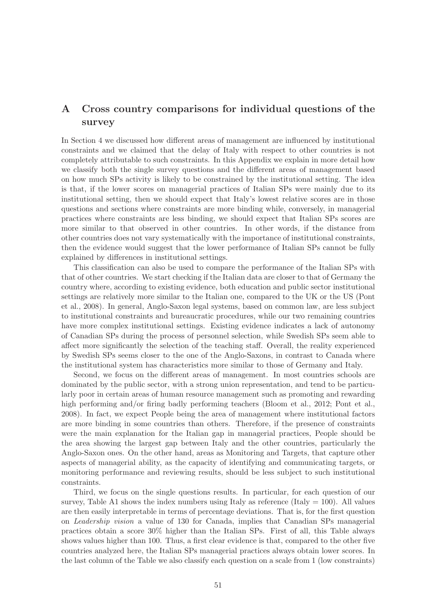### A Cross country comparisons for individual questions of the survey

In Section 4 we discussed how different areas of management are influenced by institutional constraints and we claimed that the delay of Italy with respect to other countries is not completely attributable to such constraints. In this Appendix we explain in more detail how we classify both the single survey questions and the different areas of management based on how much SPs activity is likely to be constrained by the institutional setting. The idea is that, if the lower scores on managerial practices of Italian SPs were mainly due to its institutional setting, then we should expect that Italy's lowest relative scores are in those questions and sections where constraints are more binding while, conversely, in managerial practices where constraints are less binding, we should expect that Italian SPs scores are more similar to that observed in other countries. In other words, if the distance from other countries does not vary systematically with the importance of institutional constraints, then the evidence would suggest that the lower performance of Italian SPs cannot be fully explained by differences in institutional settings.

This classification can also be used to compare the performance of the Italian SPs with that of other countries. We start checking if the Italian data are closer to that of Germany the country where, according to existing evidence, both education and public sector institutional settings are relatively more similar to the Italian one, compared to the UK or the US (Pont et al., 2008). In general, Anglo-Saxon legal systems, based on common law, are less subject to institutional constraints and bureaucratic procedures, while our two remaining countries have more complex institutional settings. Existing evidence indicates a lack of autonomy of Canadian SPs during the process of personnel selection, while Swedish SPs seem able to affect more significantly the selection of the teaching staff. Overall, the reality experienced by Swedish SPs seems closer to the one of the Anglo-Saxons, in contrast to Canada where the institutional system has characteristics more similar to those of Germany and Italy.

Second, we focus on the different areas of management. In most countries schools are dominated by the public sector, with a strong union representation, and tend to be particularly poor in certain areas of human resource management such as promoting and rewarding high performing and/or firing badly performing teachers (Bloom et al., 2012; Pont et al., 2008). In fact, we expect People being the area of management where institutional factors are more binding in some countries than others. Therefore, if the presence of constraints were the main explanation for the Italian gap in managerial practices, People should be the area showing the largest gap between Italy and the other countries, particularly the Anglo-Saxon ones. On the other hand, areas as Monitoring and Targets, that capture other aspects of managerial ability, as the capacity of identifying and communicating targets, or monitoring performance and reviewing results, should be less subject to such institutional constraints.

Third, we focus on the single questions results. In particular, for each question of our survey, Table A1 shows the index numbers using Italy as reference (Italy  $= 100$ ). All values are then easily interpretable in terms of percentage deviations. That is, for the first question on Leadership vision a value of 130 for Canada, implies that Canadian SPs managerial practices obtain a score 30% higher than the Italian SPs. First of all, this Table always shows values higher than 100. Thus, a first clear evidence is that, compared to the other five countries analyzed here, the Italian SPs managerial practices always obtain lower scores. In the last column of the Table we also classify each question on a scale from 1 (low constraints)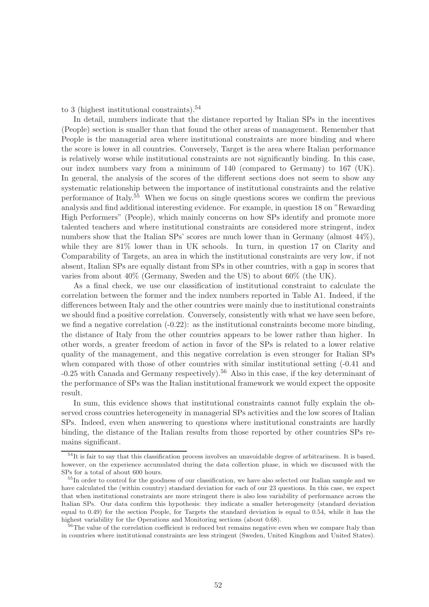to 3 (highest institutional constraints). $54$ 

In detail, numbers indicate that the distance reported by Italian SPs in the incentives (People) section is smaller than that found the other areas of management. Remember that People is the managerial area where institutional constraints are more binding and where the score is lower in all countries. Conversely, Target is the area where Italian performance is relatively worse while institutional constraints are not significantly binding. In this case, our index numbers vary from a minimum of 140 (compared to Germany) to 167 (UK). In general, the analysis of the scores of the different sections does not seem to show any systematic relationship between the importance of institutional constraints and the relative performance of Italy.<sup>55</sup> When we focus on single questions scores we confirm the previous analysis and find additional interesting evidence. For example, in question 18 on "Rewarding High Performers" (People), which mainly concerns on how SPs identify and promote more talented teachers and where institutional constraints are considered more stringent, index numbers show that the Italian SPs' scores are much lower than in Germany (almost  $44\%$ ), while they are  $81\%$  lower than in UK schools. In turn, in question 17 on Clarity and Comparability of Targets, an area in which the institutional constraints are very low, if not absent, Italian SPs are equally distant from SPs in other countries, with a gap in scores that varies from about 40% (Germany, Sweden and the US) to about 60% (the UK).

As a final check, we use our classification of institutional constraint to calculate the correlation between the former and the index numbers reported in Table A1. Indeed, if the differences between Italy and the other countries were mainly due to institutional constraints we should find a positive correlation. Conversely, consistently with what we have seen before, we find a negative correlation (-0.22): as the institutional constraints become more binding, the distance of Italy from the other countries appears to be lower rather than higher. In other words, a greater freedom of action in favor of the SPs is related to a lower relative quality of the management, and this negative correlation is even stronger for Italian SPs when compared with those of other countries with similar institutional setting  $(-0.41)$  and  $-0.25$  with Canada and Germany respectively).<sup>56</sup> Also in this case, if the key determinant of the performance of SPs was the Italian institutional framework we would expect the opposite result.

In sum, this evidence shows that institutional constraints cannot fully explain the observed cross countries heterogeneity in managerial SPs activities and the low scores of Italian SPs. Indeed, even when answering to questions where institutional constraints are hardly binding, the distance of the Italian results from those reported by other countries SPs remains significant.

 $54$ It is fair to say that this classification process involves an unavoidable degree of arbitrariness. It is based, however, on the experience accumulated during the data collection phase, in which we discussed with the SPs for a total of about 600 hours.

<sup>55</sup>In order to control for the goodness of our classification, we have also selected our Italian sample and we have calculated the (within country) standard deviation for each of our 23 questions. In this case, we expect that when institutional constraints are more stringent there is also less variability of performance across the Italian SPs. Our data confirm this hypothesis: they indicate a smaller heterogeneity (standard deviation equal to 0.49) for the section People, for Targets the standard deviation is equal to 0.54, while it has the highest variability for the Operations and Monitoring sections (about 0.68).

<sup>&</sup>lt;sup>56</sup>The value of the correlation coefficient is reduced but remains negative even when we compare Italy than in countries where institutional constraints are less stringent (Sweden, United Kingdom and United States).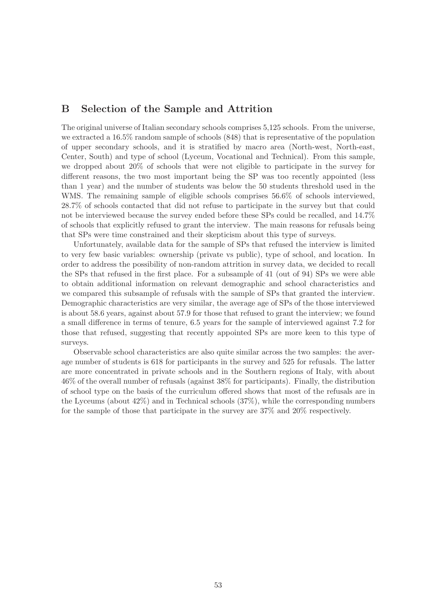### B Selection of the Sample and Attrition

The original universe of Italian secondary schools comprises 5,125 schools. From the universe, we extracted a 16.5% random sample of schools (848) that is representative of the population of upper secondary schools, and it is stratified by macro area (North-west, North-east, Center, South) and type of school (Lyceum, Vocational and Technical). From this sample, we dropped about 20% of schools that were not eligible to participate in the survey for different reasons, the two most important being the SP was too recently appointed (less than 1 year) and the number of students was below the 50 students threshold used in the WMS. The remaining sample of eligible schools comprises 56.6% of schools interviewed, 28.7% of schools contacted that did not refuse to participate in the survey but that could not be interviewed because the survey ended before these SPs could be recalled, and 14.7% of schools that explicitly refused to grant the interview. The main reasons for refusals being that SPs were time constrained and their skepticism about this type of surveys.

Unfortunately, available data for the sample of SPs that refused the interview is limited to very few basic variables: ownership (private vs public), type of school, and location. In order to address the possibility of non-random attrition in survey data, we decided to recall the SPs that refused in the first place. For a subsample of 41 (out of 94) SPs we were able to obtain additional information on relevant demographic and school characteristics and we compared this subsample of refusals with the sample of SPs that granted the interview. Demographic characteristics are very similar, the average age of SPs of the those interviewed is about 58.6 years, against about 57.9 for those that refused to grant the interview; we found a small difference in terms of tenure, 6.5 years for the sample of interviewed against 7.2 for those that refused, suggesting that recently appointed SPs are more keen to this type of surveys.

Observable school characteristics are also quite similar across the two samples: the average number of students is 618 for participants in the survey and 525 for refusals. The latter are more concentrated in private schools and in the Southern regions of Italy, with about 46% of the overall number of refusals (against 38% for participants). Finally, the distribution of school type on the basis of the curriculum offered shows that most of the refusals are in the Lyceums (about 42%) and in Technical schools (37%), while the corresponding numbers for the sample of those that participate in the survey are 37% and 20% respectively.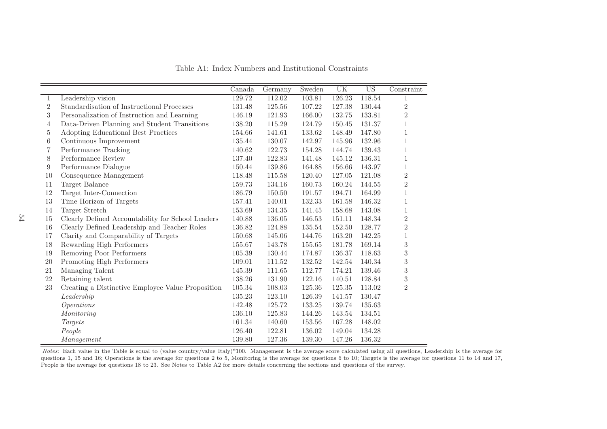|                  |                                                   | Canada | Germany | Sweden | UK     | $\overline{US}$ | Constraint     |
|------------------|---------------------------------------------------|--------|---------|--------|--------|-----------------|----------------|
| 1                | Leadership vision                                 | 129.72 | 112.02  | 103.81 | 126.23 | 118.54          | $\mathbf{1}$   |
| $\overline{2}$   | Standardisation of Instructional Processes        | 131.48 | 125.56  | 107.22 | 127.38 | 130.44          | $\sqrt{2}$     |
| $\boldsymbol{3}$ | Personalization of Instruction and Learning       | 146.19 | 121.93  | 166.00 | 132.75 | 133.81          | $\sqrt{2}$     |
| 4                | Data-Driven Planning and Student Transitions      | 138.20 | 115.29  | 124.79 | 150.45 | 131.37          | $\mathbf{1}$   |
| $\overline{5}$   | Adopting Educational Best Practices               | 154.66 | 141.61  | 133.62 | 148.49 | 147.80          | $\mathbf{1}$   |
| 6                | Continuous Improvement                            | 135.44 | 130.07  | 142.97 | 145.96 | 132.96          | $1\,$          |
| 7                | Performance Tracking                              | 140.62 | 122.73  | 154.28 | 144.74 | 139.43          | $\mathbf{1}$   |
| 8                | Performance Review                                | 137.40 | 122.83  | 141.48 | 145.12 | 136.31          | $1\,$          |
| 9                | Performance Dialogue                              | 150.44 | 139.86  | 164.88 | 156.66 | 143.97          | $\mathbf{1}$   |
| 10               | Consequence Management                            | 118.48 | 115.58  | 120.40 | 127.05 | 121.08          | $\sqrt{2}$     |
| 11               | Target Balance                                    | 159.73 | 134.16  | 160.73 | 160.24 | 144.55          | $\,2$          |
| 12               | Target Inter-Connection                           | 186.79 | 150.50  | 191.57 | 194.71 | 164.99          | $1\,$          |
| 13               | Time Horizon of Targets                           | 157.41 | 140.01  | 132.33 | 161.58 | 146.32          | $\mathbf{1}$   |
| 14               | Target Stretch                                    | 153.69 | 134.35  | 141.45 | 158.68 | 143.08          | $1\,$          |
| $15\,$           | Clearly Defined Accountability for School Leaders | 140.88 | 136.05  | 146.53 | 151.11 | 148.34          | $\sqrt{2}$     |
| 16               | Clearly Defined Leadership and Teacher Roles      | 136.82 | 124.88  | 135.54 | 152.50 | 128.77          | $\sqrt{2}$     |
| 17               | Clarity and Comparability of Targets              | 150.68 | 145.06  | 144.76 | 163.20 | 142.25          | $\,1\,$        |
| 18               | Rewarding High Performers                         | 155.67 | 143.78  | 155.65 | 181.78 | 169.14          | $\sqrt{3}$     |
| 19               | Removing Poor Performers                          | 105.39 | 130.44  | 174.87 | 136.37 | 118.63          | $\sqrt{3}$     |
| 20               | Promoting High Performers                         | 109.01 | 111.52  | 132.52 | 142.54 | 140.34          | $\sqrt{3}$     |
| 21               | Managing Talent                                   | 145.39 | 111.65  | 112.77 | 174.21 | 139.46          | $\sqrt{3}$     |
| $22\,$           | Retaining talent                                  | 138.26 | 131.90  | 122.16 | 140.51 | 128.84          | $\sqrt{3}$     |
| 23               | Creating a Distinctive Employee Value Proposition | 105.34 | 108.03  | 125.36 | 125.35 | 113.02          | $\overline{2}$ |
|                  | Leadership                                        | 135.23 | 123.10  | 126.39 | 141.57 | 130.47          |                |
|                  | <i>Operations</i>                                 | 142.48 | 125.72  | 133.25 | 139.74 | 135.63          |                |
|                  | Monitoring                                        | 136.10 | 125.83  | 144.26 | 143.54 | 134.51          |                |
|                  | Targets                                           | 161.34 | 140.60  | 153.56 | 167.28 | 148.02          |                |
|                  | People                                            | 126.40 | 122.81  | 136.02 | 149.04 | 134.28          |                |
|                  | Management                                        | 139.80 | 127.36  | 139.30 | 147.26 | 136.32          |                |

Table A1: Index Numbers and Institutional Constraints

Notes: Each value in the Table is equa<sup>l</sup> to (value country/value Italy)\*100. Management is the average score calculated using all questions, Leadership is the average for questions 1, <sup>15</sup> and 16; Operations is the average for questions <sup>2</sup> to 5, Monitoring is the average for questions <sup>6</sup> to 10; Targets is the average for questions <sup>11</sup> to <sup>14</sup> and 17, People is the average for questions <sup>18</sup> to 23. See Notes to Table A2 for more details concerning the sections and questions of the survey.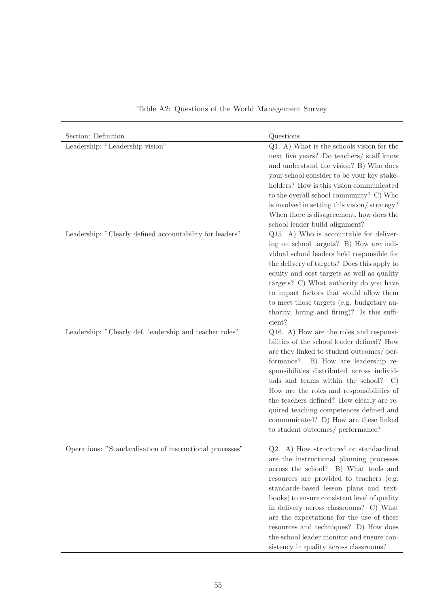| Section: Definition                                      | Questions                                                                                                                                                                                                                                                                                                                                                                                                                                                                                        |
|----------------------------------------------------------|--------------------------------------------------------------------------------------------------------------------------------------------------------------------------------------------------------------------------------------------------------------------------------------------------------------------------------------------------------------------------------------------------------------------------------------------------------------------------------------------------|
| Leadership: "Leadership vision"                          | Q1. A) What is the schools vision for the                                                                                                                                                                                                                                                                                                                                                                                                                                                        |
|                                                          | next five years? Do teachers/ staff know<br>and understand the vision? B) Who does<br>your school consider to be your key stake-<br>holders? How is this vision communicated<br>to the overall school community? C) Who<br>is involved in setting this vision/strategy?<br>When there is disagreement, how does the<br>school leader build alignment?                                                                                                                                            |
| Leadership: "Clearly defined accountability for leaders" | Q15. A) Who is accountable for deliver-<br>ing on school targets? B) How are indi-<br>vidual school leaders held responsible for<br>the delivery of targets? Does this apply to<br>equity and cost targets as well as quality<br>targets? C) What authority do you have<br>to impact factors that would allow them<br>to meet those targets (e.g. budgetary au-<br>thority, hiring and firing)? Is this suffi-<br>cient?                                                                         |
| Leadership: "Clearly def. leadership and teacher roles"  | Q16. A) How are the roles and responsi-<br>bilities of the school leader defined? How<br>are they linked to student outcomes/ per-<br>formance? B) How are leadership re-<br>sponsibilities distributed across individ-<br>uals and teams within the school?<br>$\mathcal{C}$<br>How are the roles and responsibilities of<br>the teachers defined? How clearly are re-<br>quired teaching competences defined and<br>communicated? D) How are these linked<br>to student outcomes/ performance? |
| Operations: "Standardisation of instructional processes' | Q2. A) How structured or standardized<br>are the instructional planning processes<br>across the school? B) What tools and<br>resources are provided to teachers (e.g.<br>standards-based lesson plans and text-<br>books) to ensure consistent level of quality<br>in delivery across classrooms? C) What<br>are the expectations for the use of these<br>resources and techniques? D) How does<br>the school leader monitor and ensure con-<br>sistency in quality across classrooms?           |

Table A2: Questions of the World Management Survey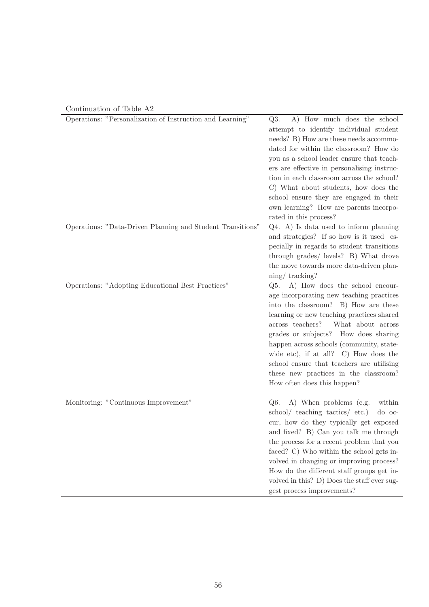| Continuation of Table A2 |  |  |  |
|--------------------------|--|--|--|
|--------------------------|--|--|--|

| Operations: "Personalization of Instruction and Learning"  | A) How much does the school<br>Q3.                                                       |
|------------------------------------------------------------|------------------------------------------------------------------------------------------|
|                                                            | attempt to identify individual student                                                   |
|                                                            | needs? B) How are these needs accommo-                                                   |
|                                                            | dated for within the classroom? How do                                                   |
|                                                            | you as a school leader ensure that teach-                                                |
|                                                            | ers are effective in personalising instruc-<br>tion in each classroom across the school? |
|                                                            | C) What about students, how does the                                                     |
|                                                            | school ensure they are engaged in their                                                  |
|                                                            | own learning? How are parents incorpo-                                                   |
|                                                            | rated in this process?                                                                   |
| Operations: "Data-Driven Planning and Student Transitions" | Q4. A) Is data used to inform planning                                                   |
|                                                            | and strategies? If so how is it used es-                                                 |
|                                                            | pecially in regards to student transitions                                               |
|                                                            | through grades/ levels? B) What drove                                                    |
|                                                            | the move towards more data-driven plan-                                                  |
|                                                            | $\frac{\text{ning}}{\text{tracking}}$ ?                                                  |
| Operations: "Adopting Educational Best Practices"          | Q5. A) How does the school encour-                                                       |
|                                                            | age incorporating new teaching practices                                                 |
|                                                            | into the classroom? B) How are these                                                     |
|                                                            | learning or new teaching practices shared                                                |
|                                                            | across teachers?<br>What about across                                                    |
|                                                            | grades or subjects? How does sharing                                                     |
|                                                            | happen across schools (community, state-                                                 |
|                                                            | wide etc), if at all? $C$ How does the                                                   |
|                                                            | school ensure that teachers are utilising                                                |
|                                                            | these new practices in the classroom?                                                    |
|                                                            | How often does this happen?                                                              |
| Monitoring: "Continuous Improvement"                       | A) When problems (e.g.<br>within<br>Q6.                                                  |
|                                                            | school/ teaching tactics/ etc.)<br>do oc-                                                |
|                                                            | cur, how do they typically get exposed                                                   |
|                                                            | and fixed? B) Can you talk me through                                                    |
|                                                            | the process for a recent problem that you                                                |
|                                                            | faced? C) Who within the school gets in-                                                 |
|                                                            | volved in changing or improving process?                                                 |
|                                                            | How do the different staff groups get in-                                                |
|                                                            | volved in this? D) Does the staff ever sug-                                              |
|                                                            | gest process improvements?                                                               |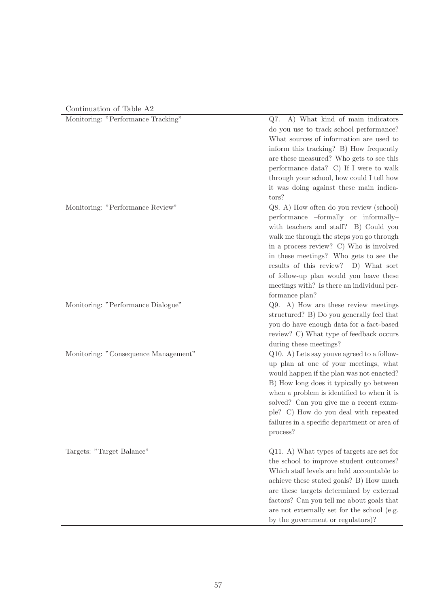### Continuation of Table A2

| Monitoring: "Performance Tracking"   | Q7. A) What kind of main indicators          |
|--------------------------------------|----------------------------------------------|
|                                      | do you use to track school performance?      |
|                                      | What sources of information are used to      |
|                                      | inform this tracking? B) How frequently      |
|                                      | are these measured? Who gets to see this     |
|                                      | performance data? C) If I were to walk       |
|                                      | through your school, how could I tell how    |
|                                      | it was doing against these main indica-      |
|                                      | tors?                                        |
| Monitoring: "Performance Review"     | Q8. A) How often do you review (school)      |
|                                      | performance -formally or informally-         |
|                                      |                                              |
|                                      | with teachers and staff? B) Could you        |
|                                      | walk me through the steps you go through     |
|                                      | in a process review? C) Who is involved      |
|                                      | in these meetings? Who gets to see the       |
|                                      | results of this review? D) What sort         |
|                                      | of follow-up plan would you leave these      |
|                                      | meetings with? Is there an individual per-   |
|                                      | formance plan?                               |
| Monitoring: "Performance Dialogue"   | Q9. A) How are these review meetings         |
|                                      | structured? B) Do you generally feel that    |
|                                      | you do have enough data for a fact-based     |
|                                      | review? C) What type of feedback occurs      |
|                                      | during these meetings?                       |
| Monitoring: "Consequence Management" | Q10. A) Lets say youve agreed to a follow-   |
|                                      | up plan at one of your meetings, what        |
|                                      | would happen if the plan was not enacted?    |
|                                      | B) How long does it typically go between     |
|                                      | when a problem is identified to when it is   |
|                                      | solved? Can you give me a recent exam-       |
|                                      | ple? C) How do you deal with repeated        |
|                                      | failures in a specific department or area of |
|                                      | process?                                     |
| Targets: "Target Balance"            | Q11. A) What types of targets are set for    |
|                                      | the school to improve student outcomes?      |
|                                      | Which staff levels are held accountable to   |
|                                      | achieve these stated goals? B) How much      |
|                                      | are these targets determined by external     |
|                                      | factors? Can you tell me about goals that    |
|                                      | are not externally set for the school (e.g.  |
|                                      | by the government or regulators)?            |
|                                      |                                              |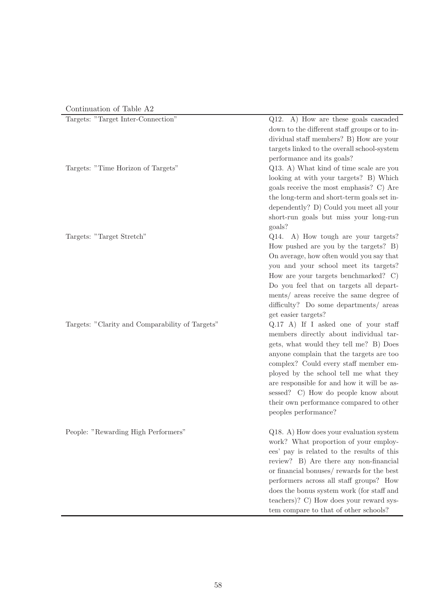| Continuation of Table A2 |  |  |
|--------------------------|--|--|
|--------------------------|--|--|

| $\sim$ 0.101110.001011 01 10010 112             |                                                                                                                                                                                                                                                                                                                                                                                                                 |
|-------------------------------------------------|-----------------------------------------------------------------------------------------------------------------------------------------------------------------------------------------------------------------------------------------------------------------------------------------------------------------------------------------------------------------------------------------------------------------|
| Targets: "Target Inter-Connection"              | Q12. A) How are these goals cascaded<br>down to the different staff groups or to in-<br>dividual staff members? B) How are your<br>targets linked to the overall school-system<br>performance and its goals?                                                                                                                                                                                                    |
| Targets: "Time Horizon of Targets"              | Q13. A) What kind of time scale are you<br>looking at with your targets? B) Which<br>goals receive the most emphasis? C) Are<br>the long-term and short-term goals set in-<br>dependently? D) Could you meet all your<br>short-run goals but miss your long-run<br>goals?                                                                                                                                       |
| Targets: "Target Stretch"                       | Q14. A) How tough are your targets?<br>How pushed are you by the targets? B)<br>On average, how often would you say that<br>you and your school meet its targets?<br>How are your targets benchmarked? C)<br>Do you feel that on targets all depart-<br>ments/ areas receive the same degree of<br>difficulty? Do some departments/ areas<br>get easier targets?                                                |
| Targets: "Clarity and Comparability of Targets" | Q.17 A) If I asked one of your staff<br>members directly about individual tar-<br>gets, what would they tell me? B) Does<br>anyone complain that the targets are too<br>complex? Could every staff member em-<br>ployed by the school tell me what they<br>are responsible for and how it will be as-<br>sessed? C) How do people know about<br>their own performance compared to other<br>peoples performance? |
| People: "Rewarding High Performers"             | Q18. A) How does your evaluation system<br>work? What proportion of your employ-<br>ees' pay is related to the results of this<br>review? B) Are there any non-financial<br>or financial bonuses/rewards for the best<br>performers across all staff groups? How<br>does the bonus system work (for staff and<br>teachers)? C) How does your reward sys-<br>tem compare to that of other schools?               |